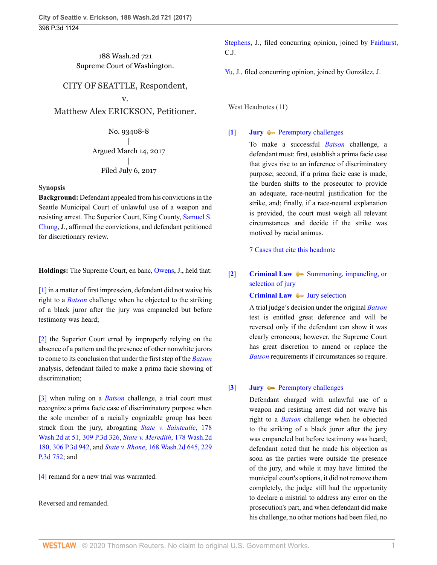188 Wash.2d 721 Supreme Court of Washington.

# CITY OF SEATTLE, Respondent,

## v.

Matthew Alex ERICKSON, Petitioner.

No. 93408-8 | Argued March 14, 2017 | Filed July 6, 2017

## **Synopsis**

**Background:** Defendant appealed from his convictions in the Seattle Municipal Court of unlawful use of a weapon and resisting arrest. The Superior Court, King County, [Samuel S.](http://www.westlaw.com/Link/Document/FullText?findType=h&pubNum=176284&cite=0486075601&originatingDoc=If16b08a062d111e794a1f7ff5c621124&refType=RQ&originationContext=document&vr=3.0&rs=cblt1.0&transitionType=DocumentItem&contextData=(sc.UserEnteredCitation)) [Chung,](http://www.westlaw.com/Link/Document/FullText?findType=h&pubNum=176284&cite=0486075601&originatingDoc=If16b08a062d111e794a1f7ff5c621124&refType=RQ&originationContext=document&vr=3.0&rs=cblt1.0&transitionType=DocumentItem&contextData=(sc.UserEnteredCitation)) J., affirmed the convictions, and defendant petitioned for discretionary review.

**Holdings:** The Supreme Court, en banc, [Owens,](http://www.westlaw.com/Link/Document/FullText?findType=h&pubNum=176284&cite=0154143501&originatingDoc=If16b08a062d111e794a1f7ff5c621124&refType=RQ&originationContext=document&vr=3.0&rs=cblt1.0&transitionType=DocumentItem&contextData=(sc.UserEnteredCitation)) J., held that:

[\[1\]](#page-0-0) in a matter of first impression, defendant did not waive his right to a *[Batson](http://www.westlaw.com/Link/Document/FullText?findType=Y&serNum=1986122459&pubNum=0000708&originatingDoc=If16b08a062d111e794a1f7ff5c621124&refType=RP&originationContext=document&vr=3.0&rs=cblt1.0&transitionType=DocumentItem&contextData=(sc.UserEnteredCitation))* challenge when he objected to the striking of a black juror after the jury was empaneled but before testimony was heard;

[\[2\]](#page-1-0) the Superior Court erred by improperly relying on the absence of a pattern and the presence of other nonwhite jurors to come to its conclusion that under the first step of the *[Batson](http://www.westlaw.com/Link/Document/FullText?findType=Y&serNum=1986122459&pubNum=0000708&originatingDoc=If16b08a062d111e794a1f7ff5c621124&refType=RP&originationContext=document&vr=3.0&rs=cblt1.0&transitionType=DocumentItem&contextData=(sc.UserEnteredCitation))* analysis, defendant failed to make a prima facie showing of discrimination;

[\[3\]](#page-1-1) when ruling on a *[Batson](http://www.westlaw.com/Link/Document/FullText?findType=Y&serNum=1986122459&pubNum=0000708&originatingDoc=If16b08a062d111e794a1f7ff5c621124&refType=RP&originationContext=document&vr=3.0&rs=cblt1.0&transitionType=DocumentItem&contextData=(sc.UserEnteredCitation))* challenge, a trial court must recognize a prima facie case of discriminatory purpose when the sole member of a racially cognizable group has been struck from the jury, abrogating *[State v. Saintcalle](http://www.westlaw.com/Link/Document/FullText?findType=Y&serNum=2031199011&pubNum=0004645&originatingDoc=If16b08a062d111e794a1f7ff5c621124&refType=RP&originationContext=document&vr=3.0&rs=cblt1.0&transitionType=DocumentItem&contextData=(sc.UserEnteredCitation))*, 178 [Wash.2d at 51, 309 P.3d 326,](http://www.westlaw.com/Link/Document/FullText?findType=Y&serNum=2031199011&pubNum=0004645&originatingDoc=If16b08a062d111e794a1f7ff5c621124&refType=RP&originationContext=document&vr=3.0&rs=cblt1.0&transitionType=DocumentItem&contextData=(sc.UserEnteredCitation)) *[State v. Meredith](http://www.westlaw.com/Link/Document/FullText?findType=Y&serNum=2031250465&pubNum=0004645&originatingDoc=If16b08a062d111e794a1f7ff5c621124&refType=RP&originationContext=document&vr=3.0&rs=cblt1.0&transitionType=DocumentItem&contextData=(sc.UserEnteredCitation))*, 178 Wash.2d [180, 306 P.3d 942](http://www.westlaw.com/Link/Document/FullText?findType=Y&serNum=2031250465&pubNum=0004645&originatingDoc=If16b08a062d111e794a1f7ff5c621124&refType=RP&originationContext=document&vr=3.0&rs=cblt1.0&transitionType=DocumentItem&contextData=(sc.UserEnteredCitation)), and *State v. Rhone*[, 168 Wash.2d 645, 229](http://www.westlaw.com/Link/Document/FullText?findType=Y&serNum=2021664562&pubNum=0004645&originatingDoc=If16b08a062d111e794a1f7ff5c621124&refType=RP&originationContext=document&vr=3.0&rs=cblt1.0&transitionType=DocumentItem&contextData=(sc.UserEnteredCitation)) [P.3d 752](http://www.westlaw.com/Link/Document/FullText?findType=Y&serNum=2021664562&pubNum=0004645&originatingDoc=If16b08a062d111e794a1f7ff5c621124&refType=RP&originationContext=document&vr=3.0&rs=cblt1.0&transitionType=DocumentItem&contextData=(sc.UserEnteredCitation)); and

[\[4\]](#page-1-2) remand for a new trial was warranted.

Reversed and remanded.

[Stephens](http://www.westlaw.com/Link/Document/FullText?findType=h&pubNum=176284&cite=0380551701&originatingDoc=If16b08a062d111e794a1f7ff5c621124&refType=RQ&originationContext=document&vr=3.0&rs=cblt1.0&transitionType=DocumentItem&contextData=(sc.UserEnteredCitation)), J., filed concurring opinion, joined by [Fairhurst,](http://www.westlaw.com/Link/Document/FullText?findType=h&pubNum=176284&cite=0190551101&originatingDoc=If16b08a062d111e794a1f7ff5c621124&refType=RQ&originationContext=document&vr=3.0&rs=cblt1.0&transitionType=DocumentItem&contextData=(sc.UserEnteredCitation)) C.J.

[Yu](http://www.westlaw.com/Link/Document/FullText?findType=h&pubNum=176284&cite=0227076801&originatingDoc=If16b08a062d111e794a1f7ff5c621124&refType=RQ&originationContext=document&vr=3.0&rs=cblt1.0&transitionType=DocumentItem&contextData=(sc.UserEnteredCitation)), J., filed concurring opinion, joined by González, J.

West Headnotes (11)

# <span id="page-0-1"></span>**[\[1\]](#page-3-0) [Jury](http://www.westlaw.com/Browse/Home/KeyNumber/230/View.html?docGuid=If16b08a062d111e794a1f7ff5c621124&originationContext=document&vr=3.0&rs=cblt1.0&transitionType=DocumentItem&contextData=(sc.UserEnteredCitation))**  $\rightarrow$  [Peremptory challenges](http://www.westlaw.com/Browse/Home/KeyNumber/230k33(5.15)/View.html?docGuid=If16b08a062d111e794a1f7ff5c621124&originationContext=document&vr=3.0&rs=cblt1.0&transitionType=DocumentItem&contextData=(sc.UserEnteredCitation))

To make a successful *[Batson](http://www.westlaw.com/Link/Document/FullText?findType=Y&serNum=1986122459&pubNum=0000708&originatingDoc=If16b08a062d111e794a1f7ff5c621124&refType=RP&originationContext=document&vr=3.0&rs=cblt1.0&transitionType=DocumentItem&contextData=(sc.UserEnteredCitation))* challenge, a defendant must: first, establish a prima facie case that gives rise to an inference of discriminatory purpose; second, if a prima facie case is made, the burden shifts to the prosecutor to provide an adequate, race-neutral justification for the strike, and; finally, if a race-neutral explanation is provided, the court must weigh all relevant circumstances and decide if the strike was motived by racial animus.

[7 Cases that cite this headnote](http://www.westlaw.com/Link/RelatedInformation/DocHeadnoteLink?docGuid=If16b08a062d111e794a1f7ff5c621124&headnoteId=204208627700120200706175011&originationContext=document&vr=3.0&rs=cblt1.0&transitionType=CitingReferences&contextData=(sc.UserEnteredCitation))

# <span id="page-0-2"></span>**[\[2\]](#page-3-1) [Criminal Law](http://www.westlaw.com/Browse/Home/KeyNumber/110/View.html?docGuid=If16b08a062d111e794a1f7ff5c621124&originationContext=document&vr=3.0&rs=cblt1.0&transitionType=DocumentItem&contextData=(sc.UserEnteredCitation))**  $\blacklozenge$  **[Summoning, impaneling, or](http://www.westlaw.com/Browse/Home/KeyNumber/110k1134.38/View.html?docGuid=If16b08a062d111e794a1f7ff5c621124&originationContext=document&vr=3.0&rs=cblt1.0&transitionType=DocumentItem&contextData=(sc.UserEnteredCitation))** [selection of jury](http://www.westlaw.com/Browse/Home/KeyNumber/110k1134.38/View.html?docGuid=If16b08a062d111e794a1f7ff5c621124&originationContext=document&vr=3.0&rs=cblt1.0&transitionType=DocumentItem&contextData=(sc.UserEnteredCitation))

**[Criminal Law](http://www.westlaw.com/Browse/Home/KeyNumber/110/View.html?docGuid=If16b08a062d111e794a1f7ff5c621124&originationContext=document&vr=3.0&rs=cblt1.0&transitionType=DocumentItem&contextData=(sc.UserEnteredCitation))**  $\bullet$  [Jury selection](http://www.westlaw.com/Browse/Home/KeyNumber/110k1158.17/View.html?docGuid=If16b08a062d111e794a1f7ff5c621124&originationContext=document&vr=3.0&rs=cblt1.0&transitionType=DocumentItem&contextData=(sc.UserEnteredCitation))

A trial judge's decision under the original *[Batson](http://www.westlaw.com/Link/Document/FullText?findType=Y&serNum=1986122459&pubNum=0000708&originatingDoc=If16b08a062d111e794a1f7ff5c621124&refType=RP&originationContext=document&vr=3.0&rs=cblt1.0&transitionType=DocumentItem&contextData=(sc.UserEnteredCitation))* test is entitled great deference and will be reversed only if the defendant can show it was clearly erroneous; however, the Supreme Court has great discretion to amend or replace the *[Batson](http://www.westlaw.com/Link/Document/FullText?findType=Y&serNum=1986122459&pubNum=0000708&originatingDoc=If16b08a062d111e794a1f7ff5c621124&refType=RP&originationContext=document&vr=3.0&rs=cblt1.0&transitionType=DocumentItem&contextData=(sc.UserEnteredCitation))* requirements if circumstances so require.

# <span id="page-0-0"></span>**[\[3\]](#page-4-0) [Jury](http://www.westlaw.com/Browse/Home/KeyNumber/230/View.html?docGuid=If16b08a062d111e794a1f7ff5c621124&originationContext=document&vr=3.0&rs=cblt1.0&transitionType=DocumentItem&contextData=(sc.UserEnteredCitation))**  $\rightarrow$  [Peremptory challenges](http://www.westlaw.com/Browse/Home/KeyNumber/230k33(5.15)/View.html?docGuid=If16b08a062d111e794a1f7ff5c621124&originationContext=document&vr=3.0&rs=cblt1.0&transitionType=DocumentItem&contextData=(sc.UserEnteredCitation))

Defendant charged with unlawful use of a weapon and resisting arrest did not waive his right to a *[Batson](http://www.westlaw.com/Link/Document/FullText?findType=Y&serNum=1986122459&pubNum=0000708&originatingDoc=If16b08a062d111e794a1f7ff5c621124&refType=RP&originationContext=document&vr=3.0&rs=cblt1.0&transitionType=DocumentItem&contextData=(sc.UserEnteredCitation))* challenge when he objected to the striking of a black juror after the jury was empaneled but before testimony was heard; defendant noted that he made his objection as soon as the parties were outside the presence of the jury, and while it may have limited the municipal court's options, it did not remove them completely, the judge still had the opportunity to declare a mistrial to address any error on the prosecution's part, and when defendant did make his challenge, no other motions had been filed, no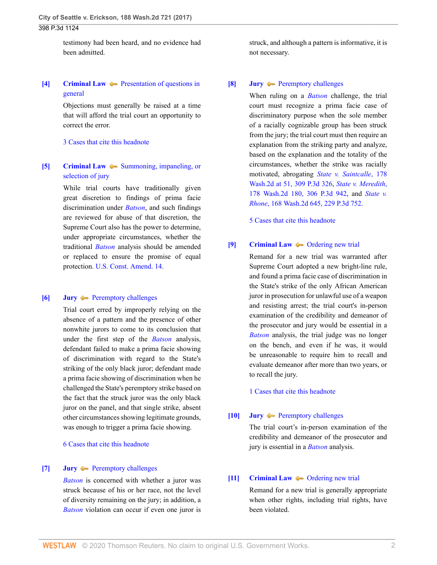## 398 P.3d 1124

testimony had been heard, and no evidence had been admitted.

# <span id="page-1-3"></span>**[\[4\]](#page-4-1) [Criminal Law](http://www.westlaw.com/Browse/Home/KeyNumber/110/View.html?docGuid=If16b08a062d111e794a1f7ff5c621124&originationContext=document&vr=3.0&rs=cblt1.0&transitionType=DocumentItem&contextData=(sc.UserEnteredCitation))**  $\blacktriangleright$  [Presentation of questions in](http://www.westlaw.com/Browse/Home/KeyNumber/110k1028/View.html?docGuid=If16b08a062d111e794a1f7ff5c621124&originationContext=document&vr=3.0&rs=cblt1.0&transitionType=DocumentItem&contextData=(sc.UserEnteredCitation)) [general](http://www.westlaw.com/Browse/Home/KeyNumber/110k1028/View.html?docGuid=If16b08a062d111e794a1f7ff5c621124&originationContext=document&vr=3.0&rs=cblt1.0&transitionType=DocumentItem&contextData=(sc.UserEnteredCitation))

Objections must generally be raised at a time that will afford the trial court an opportunity to correct the error.

## [3 Cases that cite this headnote](http://www.westlaw.com/Link/RelatedInformation/DocHeadnoteLink?docGuid=If16b08a062d111e794a1f7ff5c621124&headnoteId=204208627700420200706175011&originationContext=document&vr=3.0&rs=cblt1.0&transitionType=CitingReferences&contextData=(sc.UserEnteredCitation))

# <span id="page-1-4"></span>**[\[5\]](#page-5-0) [Criminal Law](http://www.westlaw.com/Browse/Home/KeyNumber/110/View.html?docGuid=If16b08a062d111e794a1f7ff5c621124&originationContext=document&vr=3.0&rs=cblt1.0&transitionType=DocumentItem&contextData=(sc.UserEnteredCitation))**  $\blacklozenge$  **[Summoning, impaneling, or](http://www.westlaw.com/Browse/Home/KeyNumber/110k1134.38/View.html?docGuid=If16b08a062d111e794a1f7ff5c621124&originationContext=document&vr=3.0&rs=cblt1.0&transitionType=DocumentItem&contextData=(sc.UserEnteredCitation))** [selection of jury](http://www.westlaw.com/Browse/Home/KeyNumber/110k1134.38/View.html?docGuid=If16b08a062d111e794a1f7ff5c621124&originationContext=document&vr=3.0&rs=cblt1.0&transitionType=DocumentItem&contextData=(sc.UserEnteredCitation))

While trial courts have traditionally given great discretion to findings of prima facie discrimination under *[Batson](http://www.westlaw.com/Link/Document/FullText?findType=Y&serNum=1986122459&pubNum=0000708&originatingDoc=If16b08a062d111e794a1f7ff5c621124&refType=RP&originationContext=document&vr=3.0&rs=cblt1.0&transitionType=DocumentItem&contextData=(sc.UserEnteredCitation))*, and such findings are reviewed for abuse of that discretion, the Supreme Court also has the power to determine, under appropriate circumstances, whether the traditional *[Batson](http://www.westlaw.com/Link/Document/FullText?findType=Y&serNum=1986122459&pubNum=0000708&originatingDoc=If16b08a062d111e794a1f7ff5c621124&refType=RP&originationContext=document&vr=3.0&rs=cblt1.0&transitionType=DocumentItem&contextData=(sc.UserEnteredCitation))* analysis should be amended or replaced to ensure the promise of equal protection. [U.S. Const. Amend. 14](http://www.westlaw.com/Link/Document/FullText?findType=L&pubNum=1000583&cite=USCOAMENDXIV&originatingDoc=If16b08a062d111e794a1f7ff5c621124&refType=LQ&originationContext=document&vr=3.0&rs=cblt1.0&transitionType=DocumentItem&contextData=(sc.UserEnteredCitation)).

### <span id="page-1-0"></span>**[\[6\]](#page-6-0) [Jury](http://www.westlaw.com/Browse/Home/KeyNumber/230/View.html?docGuid=If16b08a062d111e794a1f7ff5c621124&originationContext=document&vr=3.0&rs=cblt1.0&transitionType=DocumentItem&contextData=(sc.UserEnteredCitation)) [Peremptory challenges](http://www.westlaw.com/Browse/Home/KeyNumber/230k33(5.15)/View.html?docGuid=If16b08a062d111e794a1f7ff5c621124&originationContext=document&vr=3.0&rs=cblt1.0&transitionType=DocumentItem&contextData=(sc.UserEnteredCitation))**

Trial court erred by improperly relying on the absence of a pattern and the presence of other nonwhite jurors to come to its conclusion that under the first step of the *[Batson](http://www.westlaw.com/Link/Document/FullText?findType=Y&serNum=1986122459&pubNum=0000708&originatingDoc=If16b08a062d111e794a1f7ff5c621124&refType=RP&originationContext=document&vr=3.0&rs=cblt1.0&transitionType=DocumentItem&contextData=(sc.UserEnteredCitation))* analysis, defendant failed to make a prima facie showing of discrimination with regard to the State's striking of the only black juror; defendant made a prima facie showing of discrimination when he challenged the State's peremptory strike based on the fact that the struck juror was the only black juror on the panel, and that single strike, absent other circumstances showing legitimate grounds, was enough to trigger a prima facie showing.

#### [6 Cases that cite this headnote](http://www.westlaw.com/Link/RelatedInformation/DocHeadnoteLink?docGuid=If16b08a062d111e794a1f7ff5c621124&headnoteId=204208627700620200706175011&originationContext=document&vr=3.0&rs=cblt1.0&transitionType=CitingReferences&contextData=(sc.UserEnteredCitation))

### <span id="page-1-5"></span>**[\[7\]](#page-6-1) [Jury](http://www.westlaw.com/Browse/Home/KeyNumber/230/View.html?docGuid=If16b08a062d111e794a1f7ff5c621124&originationContext=document&vr=3.0&rs=cblt1.0&transitionType=DocumentItem&contextData=(sc.UserEnteredCitation)) —** [Peremptory challenges](http://www.westlaw.com/Browse/Home/KeyNumber/230k33(5.15)/View.html?docGuid=If16b08a062d111e794a1f7ff5c621124&originationContext=document&vr=3.0&rs=cblt1.0&transitionType=DocumentItem&contextData=(sc.UserEnteredCitation))

*[Batson](http://www.westlaw.com/Link/Document/FullText?findType=Y&serNum=1986122459&pubNum=0000708&originatingDoc=If16b08a062d111e794a1f7ff5c621124&refType=RP&originationContext=document&vr=3.0&rs=cblt1.0&transitionType=DocumentItem&contextData=(sc.UserEnteredCitation))* is concerned with whether a juror was struck because of his or her race, not the level of diversity remaining on the jury; in addition, a *[Batson](http://www.westlaw.com/Link/Document/FullText?findType=Y&serNum=1986122459&pubNum=0000708&originatingDoc=If16b08a062d111e794a1f7ff5c621124&refType=RP&originationContext=document&vr=3.0&rs=cblt1.0&transitionType=DocumentItem&contextData=(sc.UserEnteredCitation))* violation can occur if even one juror is struck, and although a pattern is informative, it is not necessary.

#### <span id="page-1-1"></span>**[\[8\]](#page-6-2) [Jury](http://www.westlaw.com/Browse/Home/KeyNumber/230/View.html?docGuid=If16b08a062d111e794a1f7ff5c621124&originationContext=document&vr=3.0&rs=cblt1.0&transitionType=DocumentItem&contextData=(sc.UserEnteredCitation))**  $\rightarrow$  [Peremptory challenges](http://www.westlaw.com/Browse/Home/KeyNumber/230k33(5.15)/View.html?docGuid=If16b08a062d111e794a1f7ff5c621124&originationContext=document&vr=3.0&rs=cblt1.0&transitionType=DocumentItem&contextData=(sc.UserEnteredCitation))

When ruling on a *[Batson](http://www.westlaw.com/Link/Document/FullText?findType=Y&serNum=1986122459&pubNum=0000708&originatingDoc=If16b08a062d111e794a1f7ff5c621124&refType=RP&originationContext=document&vr=3.0&rs=cblt1.0&transitionType=DocumentItem&contextData=(sc.UserEnteredCitation))* challenge, the trial court must recognize a prima facie case of discriminatory purpose when the sole member of a racially cognizable group has been struck from the jury; the trial court must then require an explanation from the striking party and analyze, based on the explanation and the totality of the circumstances, whether the strike was racially motivated, abrogating *[State v. Saintcalle](http://www.westlaw.com/Link/Document/FullText?findType=Y&serNum=2031199011&pubNum=0004645&originatingDoc=If16b08a062d111e794a1f7ff5c621124&refType=RP&originationContext=document&vr=3.0&rs=cblt1.0&transitionType=DocumentItem&contextData=(sc.UserEnteredCitation))*, 178 [Wash.2d at 51, 309 P.3d 326,](http://www.westlaw.com/Link/Document/FullText?findType=Y&serNum=2031199011&pubNum=0004645&originatingDoc=If16b08a062d111e794a1f7ff5c621124&refType=RP&originationContext=document&vr=3.0&rs=cblt1.0&transitionType=DocumentItem&contextData=(sc.UserEnteredCitation)) *[State v. Meredith](http://www.westlaw.com/Link/Document/FullText?findType=Y&serNum=2031250465&pubNum=0004645&originatingDoc=If16b08a062d111e794a1f7ff5c621124&refType=RP&originationContext=document&vr=3.0&rs=cblt1.0&transitionType=DocumentItem&contextData=(sc.UserEnteredCitation))*, [178 Wash.2d 180, 306 P.3d 942,](http://www.westlaw.com/Link/Document/FullText?findType=Y&serNum=2031250465&pubNum=0004645&originatingDoc=If16b08a062d111e794a1f7ff5c621124&refType=RP&originationContext=document&vr=3.0&rs=cblt1.0&transitionType=DocumentItem&contextData=(sc.UserEnteredCitation)) and *[State v.](http://www.westlaw.com/Link/Document/FullText?findType=Y&serNum=2021664562&pubNum=0004645&originatingDoc=If16b08a062d111e794a1f7ff5c621124&refType=RP&originationContext=document&vr=3.0&rs=cblt1.0&transitionType=DocumentItem&contextData=(sc.UserEnteredCitation)) Rhone*[, 168 Wash.2d 645, 229 P.3d 752](http://www.westlaw.com/Link/Document/FullText?findType=Y&serNum=2021664562&pubNum=0004645&originatingDoc=If16b08a062d111e794a1f7ff5c621124&refType=RP&originationContext=document&vr=3.0&rs=cblt1.0&transitionType=DocumentItem&contextData=(sc.UserEnteredCitation)).

[5 Cases that cite this headnote](http://www.westlaw.com/Link/RelatedInformation/DocHeadnoteLink?docGuid=If16b08a062d111e794a1f7ff5c621124&headnoteId=204208627700820200706175011&originationContext=document&vr=3.0&rs=cblt1.0&transitionType=CitingReferences&contextData=(sc.UserEnteredCitation))

#### <span id="page-1-2"></span>**[\[9\]](#page-7-0) [Criminal Law](http://www.westlaw.com/Browse/Home/KeyNumber/110/View.html?docGuid=If16b08a062d111e794a1f7ff5c621124&originationContext=document&vr=3.0&rs=cblt1.0&transitionType=DocumentItem&contextData=(sc.UserEnteredCitation))**  $\rightarrow$  [Ordering new trial](http://www.westlaw.com/Browse/Home/KeyNumber/110k1189/View.html?docGuid=If16b08a062d111e794a1f7ff5c621124&originationContext=document&vr=3.0&rs=cblt1.0&transitionType=DocumentItem&contextData=(sc.UserEnteredCitation))

Remand for a new trial was warranted after Supreme Court adopted a new bright-line rule, and found a prima facie case of discrimination in the State's strike of the only African American juror in prosecution for unlawful use of a weapon and resisting arrest; the trial court's in-person examination of the credibility and demeanor of the prosecutor and jury would be essential in a *[Batson](http://www.westlaw.com/Link/Document/FullText?findType=Y&serNum=1986122459&pubNum=0000708&originatingDoc=If16b08a062d111e794a1f7ff5c621124&refType=RP&originationContext=document&vr=3.0&rs=cblt1.0&transitionType=DocumentItem&contextData=(sc.UserEnteredCitation))* analysis, the trial judge was no longer on the bench, and even if he was, it would be unreasonable to require him to recall and evaluate demeanor after more than two years, or to recall the jury.

[1 Cases that cite this headnote](http://www.westlaw.com/Link/RelatedInformation/DocHeadnoteLink?docGuid=If16b08a062d111e794a1f7ff5c621124&headnoteId=204208627701120200706175011&originationContext=document&vr=3.0&rs=cblt1.0&transitionType=CitingReferences&contextData=(sc.UserEnteredCitation))

## <span id="page-1-6"></span>**[\[10\]](#page-7-1) [Jury](http://www.westlaw.com/Browse/Home/KeyNumber/230/View.html?docGuid=If16b08a062d111e794a1f7ff5c621124&originationContext=document&vr=3.0&rs=cblt1.0&transitionType=DocumentItem&contextData=(sc.UserEnteredCitation))**  $\rightarrow$  [Peremptory challenges](http://www.westlaw.com/Browse/Home/KeyNumber/230k33(5.15)/View.html?docGuid=If16b08a062d111e794a1f7ff5c621124&originationContext=document&vr=3.0&rs=cblt1.0&transitionType=DocumentItem&contextData=(sc.UserEnteredCitation))

The trial court's in-person examination of the credibility and demeanor of the prosecutor and jury is essential in a *[Batson](http://www.westlaw.com/Link/Document/FullText?findType=Y&serNum=1986122459&pubNum=0000708&originatingDoc=If16b08a062d111e794a1f7ff5c621124&refType=RP&originationContext=document&vr=3.0&rs=cblt1.0&transitionType=DocumentItem&contextData=(sc.UserEnteredCitation))* analysis.

# <span id="page-1-7"></span>**[\[11\]](#page-7-2) [Criminal Law](http://www.westlaw.com/Browse/Home/KeyNumber/110/View.html?docGuid=If16b08a062d111e794a1f7ff5c621124&originationContext=document&vr=3.0&rs=cblt1.0&transitionType=DocumentItem&contextData=(sc.UserEnteredCitation))**  $\rightarrow$  [Ordering new trial](http://www.westlaw.com/Browse/Home/KeyNumber/110k1189/View.html?docGuid=If16b08a062d111e794a1f7ff5c621124&originationContext=document&vr=3.0&rs=cblt1.0&transitionType=DocumentItem&contextData=(sc.UserEnteredCitation))

Remand for a new trial is generally appropriate when other rights, including trial rights, have been violated.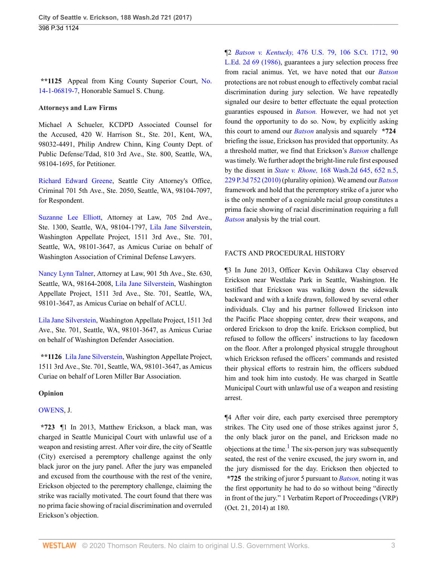**\*\*1125** Appeal from King County Superior Court, [No.](http://www.westlaw.com/Link/Document/FullText?findType=Y&pubNum=0003024&cite=NO14&originatingDoc=If16b08a062d111e794a1f7ff5c621124&refType=RP&originationContext=document&vr=3.0&rs=cblt1.0&transitionType=DocumentItem&contextData=(sc.UserEnteredCitation)) [14-1-06819-7,](http://www.westlaw.com/Link/Document/FullText?findType=Y&pubNum=0003024&cite=NO14&originatingDoc=If16b08a062d111e794a1f7ff5c621124&refType=RP&originationContext=document&vr=3.0&rs=cblt1.0&transitionType=DocumentItem&contextData=(sc.UserEnteredCitation)) Honorable Samuel S. Chung.

#### **Attorneys and Law Firms**

Michael A Schueler, KCDPD Associated Counsel for the Accused, 420 W. Harrison St., Ste. 201, Kent, WA, 98032-4491, Philip Andrew Chinn, King County Dept. of Public Defense/Tdad, 810 3rd Ave., Ste. 800, Seattle, WA, 98104-1695, for Petitioner.

[Richard Edward Greene](http://www.westlaw.com/Link/Document/FullText?findType=h&pubNum=176284&cite=0173108801&originatingDoc=If16b08a062d111e794a1f7ff5c621124&refType=RQ&originationContext=document&vr=3.0&rs=cblt1.0&transitionType=DocumentItem&contextData=(sc.UserEnteredCitation)), Seattle City Attorney's Office, Criminal 701 5th Ave., Ste. 2050, Seattle, WA, 98104-7097, for Respondent.

[Suzanne Lee Elliott](http://www.westlaw.com/Link/Document/FullText?findType=h&pubNum=176284&cite=0299300801&originatingDoc=If16b08a062d111e794a1f7ff5c621124&refType=RQ&originationContext=document&vr=3.0&rs=cblt1.0&transitionType=DocumentItem&contextData=(sc.UserEnteredCitation)), Attorney at Law, 705 2nd Ave., Ste. 1300, Seattle, WA, 98104-1797, [Lila Jane Silverstein](http://www.westlaw.com/Link/Document/FullText?findType=h&pubNum=176284&cite=0444309901&originatingDoc=If16b08a062d111e794a1f7ff5c621124&refType=RQ&originationContext=document&vr=3.0&rs=cblt1.0&transitionType=DocumentItem&contextData=(sc.UserEnteredCitation)), Washington Appellate Project, 1511 3rd Ave., Ste. 701, Seattle, WA, 98101-3647, as Amicus Curiae on behalf of Washington Association of Criminal Defense Lawyers.

[Nancy Lynn Talner,](http://www.westlaw.com/Link/Document/FullText?findType=h&pubNum=176284&cite=0278120001&originatingDoc=If16b08a062d111e794a1f7ff5c621124&refType=RQ&originationContext=document&vr=3.0&rs=cblt1.0&transitionType=DocumentItem&contextData=(sc.UserEnteredCitation)) Attorney at Law, 901 5th Ave., Ste. 630, Seattle, WA, 98164-2008, [Lila Jane Silverstein](http://www.westlaw.com/Link/Document/FullText?findType=h&pubNum=176284&cite=0444309901&originatingDoc=If16b08a062d111e794a1f7ff5c621124&refType=RQ&originationContext=document&vr=3.0&rs=cblt1.0&transitionType=DocumentItem&contextData=(sc.UserEnteredCitation)), Washington Appellate Project, 1511 3rd Ave., Ste. 701, Seattle, WA, 98101-3647, as Amicus Curiae on behalf of ACLU.

[Lila Jane Silverstein,](http://www.westlaw.com/Link/Document/FullText?findType=h&pubNum=176284&cite=0444309901&originatingDoc=If16b08a062d111e794a1f7ff5c621124&refType=RQ&originationContext=document&vr=3.0&rs=cblt1.0&transitionType=DocumentItem&contextData=(sc.UserEnteredCitation)) Washington Appellate Project, 1511 3rd Ave., Ste. 701, Seattle, WA, 98101-3647, as Amicus Curiae on behalf of Washington Defender Association.

**\*\*1126** [Lila Jane Silverstein,](http://www.westlaw.com/Link/Document/FullText?findType=h&pubNum=176284&cite=0444309901&originatingDoc=If16b08a062d111e794a1f7ff5c621124&refType=RQ&originationContext=document&vr=3.0&rs=cblt1.0&transitionType=DocumentItem&contextData=(sc.UserEnteredCitation)) Washington Appellate Project, 1511 3rd Ave., Ste. 701, Seattle, WA, 98101-3647, as Amicus Curiae on behalf of Loren Miller Bar Association.

### **Opinion**

### [OWENS,](http://www.westlaw.com/Link/Document/FullText?findType=h&pubNum=176284&cite=0154143501&originatingDoc=If16b08a062d111e794a1f7ff5c621124&refType=RQ&originationContext=document&vr=3.0&rs=cblt1.0&transitionType=DocumentItem&contextData=(sc.UserEnteredCitation)) J.

**\*723** ¶1 In 2013, Matthew Erickson, a black man, was charged in Seattle Municipal Court with unlawful use of a weapon and resisting arrest. After voir dire, the city of Seattle (City) exercised a peremptory challenge against the only black juror on the jury panel. After the jury was empaneled and excused from the courthouse with the rest of the venire, Erickson objected to the peremptory challenge, claiming the strike was racially motivated. The court found that there was no prima facie showing of racial discrimination and overruled Erickson's objection.

¶2 *Batson v. Kentucky,* [476 U.S. 79, 106 S.Ct. 1712, 90](http://www.westlaw.com/Link/Document/FullText?findType=Y&serNum=1986122459&pubNum=0000708&originatingDoc=If16b08a062d111e794a1f7ff5c621124&refType=RP&originationContext=document&vr=3.0&rs=cblt1.0&transitionType=DocumentItem&contextData=(sc.UserEnteredCitation)) [L.Ed. 2d 69 \(1986\)](http://www.westlaw.com/Link/Document/FullText?findType=Y&serNum=1986122459&pubNum=0000708&originatingDoc=If16b08a062d111e794a1f7ff5c621124&refType=RP&originationContext=document&vr=3.0&rs=cblt1.0&transitionType=DocumentItem&contextData=(sc.UserEnteredCitation)), guarantees a jury selection process free from racial animus. Yet, we have noted that our *[Batson](http://www.westlaw.com/Link/Document/FullText?findType=Y&serNum=1986122459&pubNum=0000708&originatingDoc=If16b08a062d111e794a1f7ff5c621124&refType=RP&originationContext=document&vr=3.0&rs=cblt1.0&transitionType=DocumentItem&contextData=(sc.UserEnteredCitation))* protections are not robust enough to effectively combat racial discrimination during jury selection. We have repeatedly signaled our desire to better effectuate the equal protection guaranties espoused in *[Batson.](http://www.westlaw.com/Link/Document/FullText?findType=Y&serNum=1986122459&pubNum=0000708&originatingDoc=If16b08a062d111e794a1f7ff5c621124&refType=RP&originationContext=document&vr=3.0&rs=cblt1.0&transitionType=DocumentItem&contextData=(sc.UserEnteredCitation))* However, we had not yet found the opportunity to do so. Now, by explicitly asking this court to amend our *[Batson](http://www.westlaw.com/Link/Document/FullText?findType=Y&serNum=1986122459&pubNum=0000708&originatingDoc=If16b08a062d111e794a1f7ff5c621124&refType=RP&originationContext=document&vr=3.0&rs=cblt1.0&transitionType=DocumentItem&contextData=(sc.UserEnteredCitation))* analysis and squarely **\*724** briefing the issue, Erickson has provided that opportunity. As a threshold matter, we find that Erickson's *[Batson](http://www.westlaw.com/Link/Document/FullText?findType=Y&serNum=1986122459&pubNum=0000708&originatingDoc=If16b08a062d111e794a1f7ff5c621124&refType=RP&originationContext=document&vr=3.0&rs=cblt1.0&transitionType=DocumentItem&contextData=(sc.UserEnteredCitation))* challenge was timely. We further adopt the bright-line rule first espoused by the dissent in *State v. Rhone,* [168 Wash.2d 645, 652 n.5,](http://www.westlaw.com/Link/Document/FullText?findType=Y&serNum=2021664562&pubNum=0000804&originatingDoc=If16b08a062d111e794a1f7ff5c621124&refType=RP&fi=co_pp_sp_804_652&originationContext=document&vr=3.0&rs=cblt1.0&transitionType=DocumentItem&contextData=(sc.UserEnteredCitation)#co_pp_sp_804_652) [229 P.3d 752 \(2010\)](http://www.westlaw.com/Link/Document/FullText?findType=Y&serNum=2021664562&pubNum=0000804&originatingDoc=If16b08a062d111e794a1f7ff5c621124&refType=RP&fi=co_pp_sp_804_652&originationContext=document&vr=3.0&rs=cblt1.0&transitionType=DocumentItem&contextData=(sc.UserEnteredCitation)#co_pp_sp_804_652) (plurality opinion). We amend our *[Batson](http://www.westlaw.com/Link/Document/FullText?findType=Y&serNum=1986122459&pubNum=0000708&originatingDoc=If16b08a062d111e794a1f7ff5c621124&refType=RP&originationContext=document&vr=3.0&rs=cblt1.0&transitionType=DocumentItem&contextData=(sc.UserEnteredCitation))* framework and hold that the peremptory strike of a juror who is the only member of a cognizable racial group constitutes a prima facie showing of racial discrimination requiring a full *[Batson](http://www.westlaw.com/Link/Document/FullText?findType=Y&serNum=1986122459&pubNum=0000708&originatingDoc=If16b08a062d111e794a1f7ff5c621124&refType=RP&originationContext=document&vr=3.0&rs=cblt1.0&transitionType=DocumentItem&contextData=(sc.UserEnteredCitation))* analysis by the trial court.

## FACTS AND PROCEDURAL HISTORY

¶3 In June 2013, Officer Kevin Oshikawa Clay observed Erickson near Westlake Park in Seattle, Washington. He testified that Erickson was walking down the sidewalk backward and with a knife drawn, followed by several other individuals. Clay and his partner followed Erickson into the Pacific Place shopping center, drew their weapons, and ordered Erickson to drop the knife. Erickson complied, but refused to follow the officers' instructions to lay facedown on the floor. After a prolonged physical struggle throughout which Erickson refused the officers' commands and resisted their physical efforts to restrain him, the officers subdued him and took him into custody. He was charged in Seattle Municipal Court with unlawful use of a weapon and resisting arrest.

<span id="page-2-0"></span>¶4 After voir dire, each party exercised three peremptory strikes. The City used one of those strikes against juror 5, the only black juror on the panel, and Erickson made no objections at the time.<sup>[1](#page-9-0)</sup> The six-person jury was subsequently seated, the rest of the venire excused, the jury sworn in, and the jury dismissed for the day. Erickson then objected to **\*725** the striking of juror 5 pursuant to *[Batson,](http://www.westlaw.com/Link/Document/FullText?findType=Y&serNum=1986122459&pubNum=0000708&originatingDoc=If16b08a062d111e794a1f7ff5c621124&refType=RP&originationContext=document&vr=3.0&rs=cblt1.0&transitionType=DocumentItem&contextData=(sc.UserEnteredCitation))* noting it was the first opportunity he had to do so without being "directly in front of the jury." 1 Verbatim Report of Proceedings (VRP) (Oct. 21, 2014) at 180.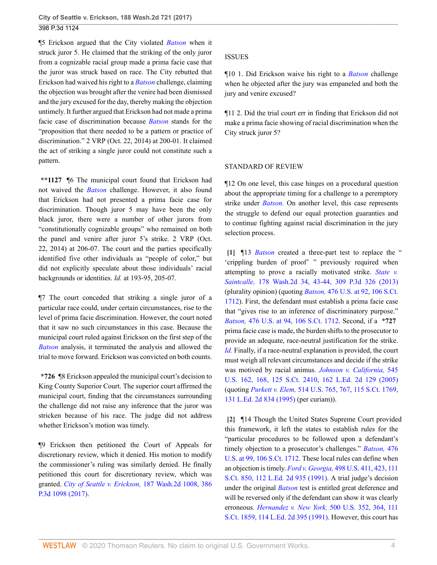¶5 Erickson argued that the City violated *[Batson](http://www.westlaw.com/Link/Document/FullText?findType=Y&serNum=1986122459&pubNum=0000708&originatingDoc=If16b08a062d111e794a1f7ff5c621124&refType=RP&originationContext=document&vr=3.0&rs=cblt1.0&transitionType=DocumentItem&contextData=(sc.UserEnteredCitation))* when it struck juror 5. He claimed that the striking of the only juror from a cognizable racial group made a prima facie case that the juror was struck based on race. The City rebutted that Erickson had waived his right to a *[Batson](http://www.westlaw.com/Link/Document/FullText?findType=Y&serNum=1986122459&pubNum=0000708&originatingDoc=If16b08a062d111e794a1f7ff5c621124&refType=RP&originationContext=document&vr=3.0&rs=cblt1.0&transitionType=DocumentItem&contextData=(sc.UserEnteredCitation))* challenge, claiming the objection was brought after the venire had been dismissed and the jury excused for the day, thereby making the objection untimely. It further argued that Erickson had not made a prima facie case of discrimination because *[Batson](http://www.westlaw.com/Link/Document/FullText?findType=Y&serNum=1986122459&pubNum=0000708&originatingDoc=If16b08a062d111e794a1f7ff5c621124&refType=RP&originationContext=document&vr=3.0&rs=cblt1.0&transitionType=DocumentItem&contextData=(sc.UserEnteredCitation))* stands for the "proposition that there needed to be a pattern or practice of discrimination." 2 VRP (Oct. 22, 2014) at 200-01. It claimed the act of striking a single juror could not constitute such a pattern.

**\*\*1127** ¶6 The municipal court found that Erickson had not waived the *[Batson](http://www.westlaw.com/Link/Document/FullText?findType=Y&serNum=1986122459&pubNum=0000708&originatingDoc=If16b08a062d111e794a1f7ff5c621124&refType=RP&originationContext=document&vr=3.0&rs=cblt1.0&transitionType=DocumentItem&contextData=(sc.UserEnteredCitation))* challenge. However, it also found that Erickson had not presented a prima facie case for discrimination. Though juror 5 may have been the only black juror, there were a number of other jurors from "constitutionally cognizable groups" who remained on both the panel and venire after juror 5's strike. 2 VRP (Oct. 22, 2014) at 206-07. The court and the parties specifically identified five other individuals as "people of color," but did not explicitly speculate about those individuals' racial backgrounds or identities. *Id.* at 193-95, 205-07.

¶7 The court conceded that striking a single juror of a particular race could, under certain circumstances, rise to the level of prima facie discrimination. However, the court noted that it saw no such circumstances in this case. Because the municipal court ruled against Erickson on the first step of the *[Batson](http://www.westlaw.com/Link/Document/FullText?findType=Y&serNum=1986122459&pubNum=0000708&originatingDoc=If16b08a062d111e794a1f7ff5c621124&refType=RP&originationContext=document&vr=3.0&rs=cblt1.0&transitionType=DocumentItem&contextData=(sc.UserEnteredCitation))* analysis, it terminated the analysis and allowed the trial to move forward. Erickson was convicted on both counts.

**\*726** ¶8 Erickson appealed the municipal court's decision to King County Superior Court. The superior court affirmed the municipal court, finding that the circumstances surrounding the challenge did not raise any inference that the juror was stricken because of his race. The judge did not address whether Erickson's motion was timely.

¶9 Erickson then petitioned the Court of Appeals for discretionary review, which it denied. His motion to modify the commissioner's ruling was similarly denied. He finally petitioned this court for discretionary review, which was granted. *[City of Seattle v. Erickson,](http://www.westlaw.com/Link/Document/FullText?findType=Y&serNum=2040710996&pubNum=0004645&originatingDoc=If16b08a062d111e794a1f7ff5c621124&refType=RP&originationContext=document&vr=3.0&rs=cblt1.0&transitionType=DocumentItem&contextData=(sc.UserEnteredCitation))* 187 Wash.2d 1008, 386 [P.3d 1098 \(2017\).](http://www.westlaw.com/Link/Document/FullText?findType=Y&serNum=2040710996&pubNum=0004645&originatingDoc=If16b08a062d111e794a1f7ff5c621124&refType=RP&originationContext=document&vr=3.0&rs=cblt1.0&transitionType=DocumentItem&contextData=(sc.UserEnteredCitation))

### ISSUES

¶10 1. Did Erickson waive his right to a *[Batson](http://www.westlaw.com/Link/Document/FullText?findType=Y&serNum=1986122459&pubNum=0000708&originatingDoc=If16b08a062d111e794a1f7ff5c621124&refType=RP&originationContext=document&vr=3.0&rs=cblt1.0&transitionType=DocumentItem&contextData=(sc.UserEnteredCitation))* challenge when he objected after the jury was empaneled and both the jury and venire excused?

¶11 2. Did the trial court err in finding that Erickson did not make a prima facie showing of racial discrimination when the City struck juror 5?

### STANDARD OF REVIEW

¶12 On one level, this case hinges on a procedural question about the appropriate timing for a challenge to a peremptory strike under *[Batson.](http://www.westlaw.com/Link/Document/FullText?findType=Y&serNum=1986122459&pubNum=0000708&originatingDoc=If16b08a062d111e794a1f7ff5c621124&refType=RP&originationContext=document&vr=3.0&rs=cblt1.0&transitionType=DocumentItem&contextData=(sc.UserEnteredCitation))* On another level, this case represents the struggle to defend our equal protection guaranties and to continue fighting against racial discrimination in the jury selection process.

<span id="page-3-0"></span>**[\[1\]](#page-0-1)** ¶13 *[Batson](http://www.westlaw.com/Link/Document/FullText?findType=Y&serNum=1986122459&pubNum=0000708&originatingDoc=If16b08a062d111e794a1f7ff5c621124&refType=RP&originationContext=document&vr=3.0&rs=cblt1.0&transitionType=DocumentItem&contextData=(sc.UserEnteredCitation))* created a three-part test to replace the " 'crippling burden of proof' " previously required when attempting to prove a racially motivated strike. *[State v.](http://www.westlaw.com/Link/Document/FullText?findType=Y&serNum=2031199011&pubNum=0000804&originatingDoc=If16b08a062d111e794a1f7ff5c621124&refType=RP&fi=co_pp_sp_804_43&originationContext=document&vr=3.0&rs=cblt1.0&transitionType=DocumentItem&contextData=(sc.UserEnteredCitation)#co_pp_sp_804_43) Saintcalle,* [178 Wash.2d 34, 43-44, 309 P.3d 326 \(2013\)](http://www.westlaw.com/Link/Document/FullText?findType=Y&serNum=2031199011&pubNum=0000804&originatingDoc=If16b08a062d111e794a1f7ff5c621124&refType=RP&fi=co_pp_sp_804_43&originationContext=document&vr=3.0&rs=cblt1.0&transitionType=DocumentItem&contextData=(sc.UserEnteredCitation)#co_pp_sp_804_43) (plurality opinion) (quoting *Batson,* [476 U.S. at 92, 106 S.Ct.](http://www.westlaw.com/Link/Document/FullText?findType=Y&serNum=1986122459&pubNum=0000780&originatingDoc=If16b08a062d111e794a1f7ff5c621124&refType=RP&fi=co_pp_sp_780_92&originationContext=document&vr=3.0&rs=cblt1.0&transitionType=DocumentItem&contextData=(sc.UserEnteredCitation)#co_pp_sp_780_92) [1712](http://www.westlaw.com/Link/Document/FullText?findType=Y&serNum=1986122459&pubNum=0000780&originatingDoc=If16b08a062d111e794a1f7ff5c621124&refType=RP&fi=co_pp_sp_780_92&originationContext=document&vr=3.0&rs=cblt1.0&transitionType=DocumentItem&contextData=(sc.UserEnteredCitation)#co_pp_sp_780_92)). First, the defendant must establish a prima facie case that "gives rise to an inference of discriminatory purpose." *Batson,* [476 U.S. at 94, 106 S.Ct. 1712.](http://www.westlaw.com/Link/Document/FullText?findType=Y&serNum=1986122459&pubNum=0000780&originatingDoc=If16b08a062d111e794a1f7ff5c621124&refType=RP&fi=co_pp_sp_780_94&originationContext=document&vr=3.0&rs=cblt1.0&transitionType=DocumentItem&contextData=(sc.UserEnteredCitation)#co_pp_sp_780_94) Second, if a **\*727** prima facie case is made, the burden shifts to the prosecutor to provide an adequate, race-neutral justification for the strike. *[Id.](http://www.westlaw.com/Link/Document/FullText?findType=Y&serNum=1986122459&pubNum=0000780&originatingDoc=If16b08a062d111e794a1f7ff5c621124&refType=RP&originationContext=document&vr=3.0&rs=cblt1.0&transitionType=DocumentItem&contextData=(sc.UserEnteredCitation))* Finally, if a race-neutral explanation is provided, the court must weigh all relevant circumstances and decide if the strike was motived by racial animus. *[Johnson v. California,](http://www.westlaw.com/Link/Document/FullText?findType=Y&serNum=2006791983&pubNum=0000780&originatingDoc=If16b08a062d111e794a1f7ff5c621124&refType=RP&fi=co_pp_sp_780_168&originationContext=document&vr=3.0&rs=cblt1.0&transitionType=DocumentItem&contextData=(sc.UserEnteredCitation)#co_pp_sp_780_168)* 545 [U.S. 162, 168, 125 S.Ct. 2410, 162 L.Ed. 2d 129 \(2005\)](http://www.westlaw.com/Link/Document/FullText?findType=Y&serNum=2006791983&pubNum=0000780&originatingDoc=If16b08a062d111e794a1f7ff5c621124&refType=RP&fi=co_pp_sp_780_168&originationContext=document&vr=3.0&rs=cblt1.0&transitionType=DocumentItem&contextData=(sc.UserEnteredCitation)#co_pp_sp_780_168) (quoting *Purkett v. Elem,* [514 U.S. 765, 767, 115 S.Ct. 1769,](http://www.westlaw.com/Link/Document/FullText?findType=Y&serNum=1995107859&pubNum=0000780&originatingDoc=If16b08a062d111e794a1f7ff5c621124&refType=RP&fi=co_pp_sp_780_767&originationContext=document&vr=3.0&rs=cblt1.0&transitionType=DocumentItem&contextData=(sc.UserEnteredCitation)#co_pp_sp_780_767) [131 L.Ed. 2d 834 \(1995\)](http://www.westlaw.com/Link/Document/FullText?findType=Y&serNum=1995107859&pubNum=0000780&originatingDoc=If16b08a062d111e794a1f7ff5c621124&refType=RP&fi=co_pp_sp_780_767&originationContext=document&vr=3.0&rs=cblt1.0&transitionType=DocumentItem&contextData=(sc.UserEnteredCitation)#co_pp_sp_780_767) (per curiam)).

<span id="page-3-1"></span>**[\[2\]](#page-0-2)** ¶14 Though the United States Supreme Court provided this framework, it left the states to establish rules for the "particular procedures to be followed upon a defendant's timely objection to a prosecutor's challenges." *[Batson,](http://www.westlaw.com/Link/Document/FullText?findType=Y&serNum=1986122459&pubNum=0000780&originatingDoc=If16b08a062d111e794a1f7ff5c621124&refType=RP&fi=co_pp_sp_780_99&originationContext=document&vr=3.0&rs=cblt1.0&transitionType=DocumentItem&contextData=(sc.UserEnteredCitation)#co_pp_sp_780_99)* 476 [U.S. at 99, 106 S.Ct. 1712.](http://www.westlaw.com/Link/Document/FullText?findType=Y&serNum=1986122459&pubNum=0000780&originatingDoc=If16b08a062d111e794a1f7ff5c621124&refType=RP&fi=co_pp_sp_780_99&originationContext=document&vr=3.0&rs=cblt1.0&transitionType=DocumentItem&contextData=(sc.UserEnteredCitation)#co_pp_sp_780_99) These local rules can define when an objection is timely. *Ford v. Georgia,* [498 U.S. 411, 423, 111](http://www.westlaw.com/Link/Document/FullText?findType=Y&serNum=1991039850&pubNum=0000780&originatingDoc=If16b08a062d111e794a1f7ff5c621124&refType=RP&fi=co_pp_sp_780_423&originationContext=document&vr=3.0&rs=cblt1.0&transitionType=DocumentItem&contextData=(sc.UserEnteredCitation)#co_pp_sp_780_423) [S.Ct. 850, 112 L.Ed. 2d 935 \(1991\)](http://www.westlaw.com/Link/Document/FullText?findType=Y&serNum=1991039850&pubNum=0000780&originatingDoc=If16b08a062d111e794a1f7ff5c621124&refType=RP&fi=co_pp_sp_780_423&originationContext=document&vr=3.0&rs=cblt1.0&transitionType=DocumentItem&contextData=(sc.UserEnteredCitation)#co_pp_sp_780_423). A trial judge's decision under the original *[Batson](http://www.westlaw.com/Link/Document/FullText?findType=Y&serNum=1986122459&pubNum=0000708&originatingDoc=If16b08a062d111e794a1f7ff5c621124&refType=RP&originationContext=document&vr=3.0&rs=cblt1.0&transitionType=DocumentItem&contextData=(sc.UserEnteredCitation))* test is entitled great deference and will be reversed only if the defendant can show it was clearly erroneous. *Hernandez v. New York,* [500 U.S. 352, 364, 111](http://www.westlaw.com/Link/Document/FullText?findType=Y&serNum=1991097682&pubNum=0000780&originatingDoc=If16b08a062d111e794a1f7ff5c621124&refType=RP&fi=co_pp_sp_780_364&originationContext=document&vr=3.0&rs=cblt1.0&transitionType=DocumentItem&contextData=(sc.UserEnteredCitation)#co_pp_sp_780_364) [S.Ct. 1859, 114 L.Ed. 2d 395 \(1991\)](http://www.westlaw.com/Link/Document/FullText?findType=Y&serNum=1991097682&pubNum=0000780&originatingDoc=If16b08a062d111e794a1f7ff5c621124&refType=RP&fi=co_pp_sp_780_364&originationContext=document&vr=3.0&rs=cblt1.0&transitionType=DocumentItem&contextData=(sc.UserEnteredCitation)#co_pp_sp_780_364). However, this court has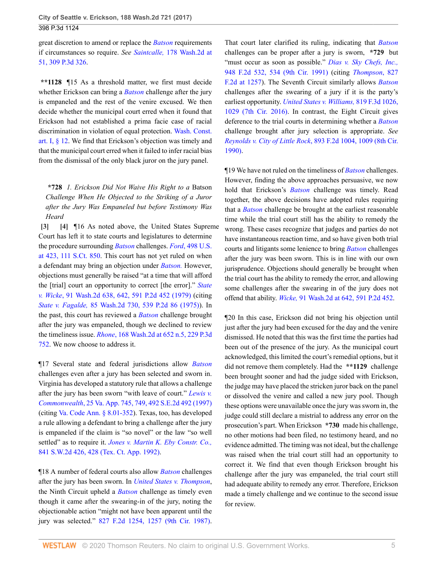great discretion to amend or replace the *[Batson](http://www.westlaw.com/Link/Document/FullText?findType=Y&serNum=1986122459&pubNum=0000708&originatingDoc=If16b08a062d111e794a1f7ff5c621124&refType=RP&originationContext=document&vr=3.0&rs=cblt1.0&transitionType=DocumentItem&contextData=(sc.UserEnteredCitation))* requirements if circumstances so require. *See Saintcalle,* [178 Wash.2d at](http://www.westlaw.com/Link/Document/FullText?findType=Y&serNum=2031199011&pubNum=0000804&originatingDoc=If16b08a062d111e794a1f7ff5c621124&refType=RP&fi=co_pp_sp_804_51&originationContext=document&vr=3.0&rs=cblt1.0&transitionType=DocumentItem&contextData=(sc.UserEnteredCitation)#co_pp_sp_804_51) [51, 309 P.3d 326.](http://www.westlaw.com/Link/Document/FullText?findType=Y&serNum=2031199011&pubNum=0000804&originatingDoc=If16b08a062d111e794a1f7ff5c621124&refType=RP&fi=co_pp_sp_804_51&originationContext=document&vr=3.0&rs=cblt1.0&transitionType=DocumentItem&contextData=(sc.UserEnteredCitation)#co_pp_sp_804_51)

**\*\*1128** ¶15 As a threshold matter, we first must decide whether Erickson can bring a *[Batson](http://www.westlaw.com/Link/Document/FullText?findType=Y&serNum=1986122459&pubNum=0000708&originatingDoc=If16b08a062d111e794a1f7ff5c621124&refType=RP&originationContext=document&vr=3.0&rs=cblt1.0&transitionType=DocumentItem&contextData=(sc.UserEnteredCitation))* challenge after the jury is empaneled and the rest of the venire excused. We then decide whether the municipal court erred when it found that Erickson had not established a prima facie case of racial discrimination in violation of equal protection. [Wash. Const.](http://www.westlaw.com/Link/Document/FullText?findType=L&pubNum=1000571&cite=WACNART1S12&originatingDoc=If16b08a062d111e794a1f7ff5c621124&refType=LQ&originationContext=document&vr=3.0&rs=cblt1.0&transitionType=DocumentItem&contextData=(sc.UserEnteredCitation)) [art. I, § 12](http://www.westlaw.com/Link/Document/FullText?findType=L&pubNum=1000571&cite=WACNART1S12&originatingDoc=If16b08a062d111e794a1f7ff5c621124&refType=LQ&originationContext=document&vr=3.0&rs=cblt1.0&transitionType=DocumentItem&contextData=(sc.UserEnteredCitation)). We find that Erickson's objection was timely and that the municipal court erred when it failed to infer racial bias from the dismissal of the only black juror on the jury panel.

**\*728** *1. Erickson Did Not Waive His Right to a* Batson *Challenge When He Objected to the Striking of a Juror after the Jury Was Empaneled but before Testimony Was Heard*

<span id="page-4-1"></span><span id="page-4-0"></span>**[\[3\]](#page-0-0) [\[4\]](#page-1-3)** ¶16 As noted above, the United States Supreme Court has left it to state courts and legislatures to determine the procedure surrounding *[Batson](http://www.westlaw.com/Link/Document/FullText?findType=Y&serNum=1986122459&pubNum=0000708&originatingDoc=If16b08a062d111e794a1f7ff5c621124&refType=RP&originationContext=document&vr=3.0&rs=cblt1.0&transitionType=DocumentItem&contextData=(sc.UserEnteredCitation))* challenges. *Ford*[, 498 U.S.](http://www.westlaw.com/Link/Document/FullText?findType=Y&serNum=1991039850&pubNum=0000780&originatingDoc=If16b08a062d111e794a1f7ff5c621124&refType=RP&fi=co_pp_sp_780_423&originationContext=document&vr=3.0&rs=cblt1.0&transitionType=DocumentItem&contextData=(sc.UserEnteredCitation)#co_pp_sp_780_423) [at 423, 111 S.Ct. 850.](http://www.westlaw.com/Link/Document/FullText?findType=Y&serNum=1991039850&pubNum=0000780&originatingDoc=If16b08a062d111e794a1f7ff5c621124&refType=RP&fi=co_pp_sp_780_423&originationContext=document&vr=3.0&rs=cblt1.0&transitionType=DocumentItem&contextData=(sc.UserEnteredCitation)#co_pp_sp_780_423) This court has not yet ruled on when a defendant may bring an objection under *[Batson.](http://www.westlaw.com/Link/Document/FullText?findType=Y&serNum=1986122459&pubNum=0000708&originatingDoc=If16b08a062d111e794a1f7ff5c621124&refType=RP&originationContext=document&vr=3.0&rs=cblt1.0&transitionType=DocumentItem&contextData=(sc.UserEnteredCitation))* However, objections must generally be raised "at a time that will afford the [trial] court an opportunity to correct [the error]." *[State](http://www.westlaw.com/Link/Document/FullText?findType=Y&serNum=1979105309&pubNum=0000804&originatingDoc=If16b08a062d111e794a1f7ff5c621124&refType=RP&fi=co_pp_sp_804_642&originationContext=document&vr=3.0&rs=cblt1.0&transitionType=DocumentItem&contextData=(sc.UserEnteredCitation)#co_pp_sp_804_642) v. Wicke*[, 91 Wash.2d 638, 642, 591 P.2d 452 \(1979\)](http://www.westlaw.com/Link/Document/FullText?findType=Y&serNum=1979105309&pubNum=0000804&originatingDoc=If16b08a062d111e794a1f7ff5c621124&refType=RP&fi=co_pp_sp_804_642&originationContext=document&vr=3.0&rs=cblt1.0&transitionType=DocumentItem&contextData=(sc.UserEnteredCitation)#co_pp_sp_804_642) (citing *State v. Fagalde,* [85 Wash.2d 730, 539 P.2d 86 \(1975\)](http://www.westlaw.com/Link/Document/FullText?findType=Y&serNum=1975127743&pubNum=0000661&originatingDoc=If16b08a062d111e794a1f7ff5c621124&refType=RP&originationContext=document&vr=3.0&rs=cblt1.0&transitionType=DocumentItem&contextData=(sc.UserEnteredCitation))). In the past, this court has reviewed a *[Batson](http://www.westlaw.com/Link/Document/FullText?findType=Y&serNum=1986122459&pubNum=0000708&originatingDoc=If16b08a062d111e794a1f7ff5c621124&refType=RP&originationContext=document&vr=3.0&rs=cblt1.0&transitionType=DocumentItem&contextData=(sc.UserEnteredCitation))* challenge brought after the jury was empaneled, though we declined to review the timeliness issue. *Rhone*[, 168 Wash.2d at 652 n.5, 229 P.3d](http://www.westlaw.com/Link/Document/FullText?findType=Y&serNum=2021664562&pubNum=0000804&originatingDoc=If16b08a062d111e794a1f7ff5c621124&refType=RP&fi=co_pp_sp_804_652&originationContext=document&vr=3.0&rs=cblt1.0&transitionType=DocumentItem&contextData=(sc.UserEnteredCitation)#co_pp_sp_804_652) [752](http://www.westlaw.com/Link/Document/FullText?findType=Y&serNum=2021664562&pubNum=0000804&originatingDoc=If16b08a062d111e794a1f7ff5c621124&refType=RP&fi=co_pp_sp_804_652&originationContext=document&vr=3.0&rs=cblt1.0&transitionType=DocumentItem&contextData=(sc.UserEnteredCitation)#co_pp_sp_804_652). We now choose to address it.

¶17 Several state and federal jurisdictions allow *[Batson](http://www.westlaw.com/Link/Document/FullText?findType=Y&serNum=1986122459&pubNum=0000708&originatingDoc=If16b08a062d111e794a1f7ff5c621124&refType=RP&originationContext=document&vr=3.0&rs=cblt1.0&transitionType=DocumentItem&contextData=(sc.UserEnteredCitation))* challenges even after a jury has been selected and sworn in. Virginia has developed a statutory rule that allows a challenge after the jury has been sworn "with leave of court." *[Lewis v.](http://www.westlaw.com/Link/Document/FullText?findType=Y&serNum=1997219821&pubNum=0000914&originatingDoc=If16b08a062d111e794a1f7ff5c621124&refType=RP&fi=co_pp_sp_914_749&originationContext=document&vr=3.0&rs=cblt1.0&transitionType=DocumentItem&contextData=(sc.UserEnteredCitation)#co_pp_sp_914_749) Commonwealth*[, 25 Va. App. 745, 749, 492 S.E.2d 492 \(1997\)](http://www.westlaw.com/Link/Document/FullText?findType=Y&serNum=1997219821&pubNum=0000914&originatingDoc=If16b08a062d111e794a1f7ff5c621124&refType=RP&fi=co_pp_sp_914_749&originationContext=document&vr=3.0&rs=cblt1.0&transitionType=DocumentItem&contextData=(sc.UserEnteredCitation)#co_pp_sp_914_749) (citing [Va. Code Ann. § 8.01-352](http://www.westlaw.com/Link/Document/FullText?findType=L&pubNum=1000040&cite=VASTS8.01-352&originatingDoc=If16b08a062d111e794a1f7ff5c621124&refType=LQ&originationContext=document&vr=3.0&rs=cblt1.0&transitionType=DocumentItem&contextData=(sc.UserEnteredCitation))). Texas, too, has developed a rule allowing a defendant to bring a challenge after the jury is empaneled if the claim is "so novel" or the law "so well settled" as to require it. *[Jones v. Martin K. Eby Constr. Co.,](http://www.westlaw.com/Link/Document/FullText?findType=Y&serNum=1992161082&pubNum=0000713&originatingDoc=If16b08a062d111e794a1f7ff5c621124&refType=RP&fi=co_pp_sp_713_428&originationContext=document&vr=3.0&rs=cblt1.0&transitionType=DocumentItem&contextData=(sc.UserEnteredCitation)#co_pp_sp_713_428)* [841 S.W.2d 426, 428 \(Tex. Ct. App. 1992\).](http://www.westlaw.com/Link/Document/FullText?findType=Y&serNum=1992161082&pubNum=0000713&originatingDoc=If16b08a062d111e794a1f7ff5c621124&refType=RP&fi=co_pp_sp_713_428&originationContext=document&vr=3.0&rs=cblt1.0&transitionType=DocumentItem&contextData=(sc.UserEnteredCitation)#co_pp_sp_713_428)

¶18 A number of federal courts also allow *[Batson](http://www.westlaw.com/Link/Document/FullText?findType=Y&serNum=1986122459&pubNum=0000708&originatingDoc=If16b08a062d111e794a1f7ff5c621124&refType=RP&originationContext=document&vr=3.0&rs=cblt1.0&transitionType=DocumentItem&contextData=(sc.UserEnteredCitation))* challenges after the jury has been sworn. In *[United States v. Thompson](http://www.westlaw.com/Link/Document/FullText?findType=Y&serNum=1987111036&pubNum=0000350&originatingDoc=If16b08a062d111e794a1f7ff5c621124&refType=RP&originationContext=document&vr=3.0&rs=cblt1.0&transitionType=DocumentItem&contextData=(sc.UserEnteredCitation))*, the Ninth Circuit upheld a *[Batson](http://www.westlaw.com/Link/Document/FullText?findType=Y&serNum=1986122459&pubNum=0000708&originatingDoc=If16b08a062d111e794a1f7ff5c621124&refType=RP&originationContext=document&vr=3.0&rs=cblt1.0&transitionType=DocumentItem&contextData=(sc.UserEnteredCitation))* challenge as timely even though it came after the swearing-in of the jury, noting the objectionable action "might not have been apparent until the jury was selected." [827 F.2d 1254, 1257 \(9th Cir. 1987\)](http://www.westlaw.com/Link/Document/FullText?findType=Y&serNum=1987111036&pubNum=0000350&originatingDoc=If16b08a062d111e794a1f7ff5c621124&refType=RP&fi=co_pp_sp_350_1257&originationContext=document&vr=3.0&rs=cblt1.0&transitionType=DocumentItem&contextData=(sc.UserEnteredCitation)#co_pp_sp_350_1257). That court later clarified its ruling, indicating that *[Batson](http://www.westlaw.com/Link/Document/FullText?findType=Y&serNum=1986122459&pubNum=0000708&originatingDoc=If16b08a062d111e794a1f7ff5c621124&refType=RP&originationContext=document&vr=3.0&rs=cblt1.0&transitionType=DocumentItem&contextData=(sc.UserEnteredCitation))* challenges can be proper after a jury is sworn, **\*729** but "must occur as soon as possible." *[Dias v. Sky Chefs, Inc.,](http://www.westlaw.com/Link/Document/FullText?findType=Y&serNum=1991177170&pubNum=0000350&originatingDoc=If16b08a062d111e794a1f7ff5c621124&refType=RP&fi=co_pp_sp_350_534&originationContext=document&vr=3.0&rs=cblt1.0&transitionType=DocumentItem&contextData=(sc.UserEnteredCitation)#co_pp_sp_350_534)* [948 F.2d 532, 534 \(9th Cir. 1991\)](http://www.westlaw.com/Link/Document/FullText?findType=Y&serNum=1991177170&pubNum=0000350&originatingDoc=If16b08a062d111e794a1f7ff5c621124&refType=RP&fi=co_pp_sp_350_534&originationContext=document&vr=3.0&rs=cblt1.0&transitionType=DocumentItem&contextData=(sc.UserEnteredCitation)#co_pp_sp_350_534) (citing *[Thompson](http://www.westlaw.com/Link/Document/FullText?findType=Y&serNum=1987111036&pubNum=0000350&originatingDoc=If16b08a062d111e794a1f7ff5c621124&refType=RP&fi=co_pp_sp_350_1257&originationContext=document&vr=3.0&rs=cblt1.0&transitionType=DocumentItem&contextData=(sc.UserEnteredCitation)#co_pp_sp_350_1257)*, 827 [F.2d at 1257](http://www.westlaw.com/Link/Document/FullText?findType=Y&serNum=1987111036&pubNum=0000350&originatingDoc=If16b08a062d111e794a1f7ff5c621124&refType=RP&fi=co_pp_sp_350_1257&originationContext=document&vr=3.0&rs=cblt1.0&transitionType=DocumentItem&contextData=(sc.UserEnteredCitation)#co_pp_sp_350_1257)). The Seventh Circuit similarly allows *[Batson](http://www.westlaw.com/Link/Document/FullText?findType=Y&serNum=1986122459&pubNum=0000708&originatingDoc=If16b08a062d111e794a1f7ff5c621124&refType=RP&originationContext=document&vr=3.0&rs=cblt1.0&transitionType=DocumentItem&contextData=(sc.UserEnteredCitation))* challenges after the swearing of a jury if it is the party's earliest opportunity. *[United States v. Williams,](http://www.westlaw.com/Link/Document/FullText?findType=Y&serNum=2038730125&pubNum=0000506&originatingDoc=If16b08a062d111e794a1f7ff5c621124&refType=RP&fi=co_pp_sp_506_1029&originationContext=document&vr=3.0&rs=cblt1.0&transitionType=DocumentItem&contextData=(sc.UserEnteredCitation)#co_pp_sp_506_1029)* 819 F.3d 1026, [1029 \(7th Cir. 2016\).](http://www.westlaw.com/Link/Document/FullText?findType=Y&serNum=2038730125&pubNum=0000506&originatingDoc=If16b08a062d111e794a1f7ff5c621124&refType=RP&fi=co_pp_sp_506_1029&originationContext=document&vr=3.0&rs=cblt1.0&transitionType=DocumentItem&contextData=(sc.UserEnteredCitation)#co_pp_sp_506_1029) In contrast, the Eight Circuit gives deference to the trial courts in determining whether a *[Batson](http://www.westlaw.com/Link/Document/FullText?findType=Y&serNum=1986122459&pubNum=0000708&originatingDoc=If16b08a062d111e794a1f7ff5c621124&refType=RP&originationContext=document&vr=3.0&rs=cblt1.0&transitionType=DocumentItem&contextData=(sc.UserEnteredCitation))* challenge brought after jury selection is appropriate. *See Reynolds v. City of Little Rock*[, 893 F.2d 1004, 1009 \(8th Cir.](http://www.westlaw.com/Link/Document/FullText?findType=Y&serNum=1990020337&pubNum=0000350&originatingDoc=If16b08a062d111e794a1f7ff5c621124&refType=RP&fi=co_pp_sp_350_1009&originationContext=document&vr=3.0&rs=cblt1.0&transitionType=DocumentItem&contextData=(sc.UserEnteredCitation)#co_pp_sp_350_1009) [1990\)](http://www.westlaw.com/Link/Document/FullText?findType=Y&serNum=1990020337&pubNum=0000350&originatingDoc=If16b08a062d111e794a1f7ff5c621124&refType=RP&fi=co_pp_sp_350_1009&originationContext=document&vr=3.0&rs=cblt1.0&transitionType=DocumentItem&contextData=(sc.UserEnteredCitation)#co_pp_sp_350_1009).

¶19 We have not ruled on the timeliness of *[Batson](http://www.westlaw.com/Link/Document/FullText?findType=Y&serNum=1986122459&pubNum=0000708&originatingDoc=If16b08a062d111e794a1f7ff5c621124&refType=RP&originationContext=document&vr=3.0&rs=cblt1.0&transitionType=DocumentItem&contextData=(sc.UserEnteredCitation))* challenges. However, finding the above approaches persuasive, we now hold that Erickson's *[Batson](http://www.westlaw.com/Link/Document/FullText?findType=Y&serNum=1986122459&pubNum=0000708&originatingDoc=If16b08a062d111e794a1f7ff5c621124&refType=RP&originationContext=document&vr=3.0&rs=cblt1.0&transitionType=DocumentItem&contextData=(sc.UserEnteredCitation))* challenge was timely. Read together, the above decisions have adopted rules requiring that a *[Batson](http://www.westlaw.com/Link/Document/FullText?findType=Y&serNum=1986122459&pubNum=0000708&originatingDoc=If16b08a062d111e794a1f7ff5c621124&refType=RP&originationContext=document&vr=3.0&rs=cblt1.0&transitionType=DocumentItem&contextData=(sc.UserEnteredCitation))* challenge be brought at the earliest reasonable time while the trial court still has the ability to remedy the wrong. These cases recognize that judges and parties do not have instantaneous reaction time, and so have given both trial courts and litigants some lenience to bring *[Batson](http://www.westlaw.com/Link/Document/FullText?findType=Y&serNum=1986122459&pubNum=0000708&originatingDoc=If16b08a062d111e794a1f7ff5c621124&refType=RP&originationContext=document&vr=3.0&rs=cblt1.0&transitionType=DocumentItem&contextData=(sc.UserEnteredCitation))* challenges after the jury was been sworn. This is in line with our own jurisprudence. Objections should generally be brought when the trial court has the ability to remedy the error, and allowing some challenges after the swearing in of the jury does not offend that ability. *Wicke,* [91 Wash.2d at 642, 591 P.2d 452.](http://www.westlaw.com/Link/Document/FullText?findType=Y&serNum=1979105309&pubNum=0000804&originatingDoc=If16b08a062d111e794a1f7ff5c621124&refType=RP&fi=co_pp_sp_804_642&originationContext=document&vr=3.0&rs=cblt1.0&transitionType=DocumentItem&contextData=(sc.UserEnteredCitation)#co_pp_sp_804_642)

¶20 In this case, Erickson did not bring his objection until just after the jury had been excused for the day and the venire dismissed. He noted that this was the first time the parties had been out of the presence of the jury. As the municipal court acknowledged, this limited the court's remedial options, but it did not remove them completely. Had the **\*\*1129** challenge been brought sooner and had the judge sided with Erickson, the judge may have placed the stricken juror back on the panel or dissolved the venire and called a new jury pool. Though these options were unavailable once the jury was sworn in, the judge could still declare a mistrial to address any error on the prosecution's part. When Erickson **\*730** made his challenge, no other motions had been filed, no testimony heard, and no evidence admitted. The timing was not ideal, but the challenge was raised when the trial court still had an opportunity to correct it. We find that even though Erickson brought his challenge after the jury was empaneled, the trial court still had adequate ability to remedy any error. Therefore, Erickson made a timely challenge and we continue to the second issue for review.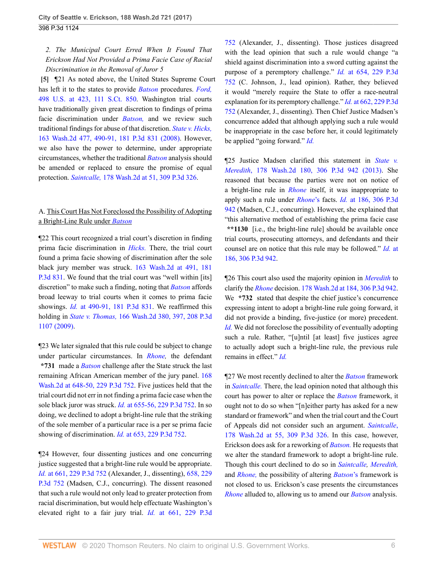# *2. The Municipal Court Erred When It Found That Erickson Had Not Provided a Prima Facie Case of Racial Discrimination in the Removal of Juror 5*

<span id="page-5-0"></span>**[\[5\]](#page-1-4)** ¶21 As noted above, the United States Supreme Court has left it to the states to provide *[Batson](http://www.westlaw.com/Link/Document/FullText?findType=Y&serNum=1986122459&pubNum=0000708&originatingDoc=If16b08a062d111e794a1f7ff5c621124&refType=RP&originationContext=document&vr=3.0&rs=cblt1.0&transitionType=DocumentItem&contextData=(sc.UserEnteredCitation))* procedures. *[Ford,](http://www.westlaw.com/Link/Document/FullText?findType=Y&serNum=1991039850&pubNum=0000780&originatingDoc=If16b08a062d111e794a1f7ff5c621124&refType=RP&fi=co_pp_sp_780_423&originationContext=document&vr=3.0&rs=cblt1.0&transitionType=DocumentItem&contextData=(sc.UserEnteredCitation)#co_pp_sp_780_423)* [498 U.S. at 423, 111 S.Ct. 850](http://www.westlaw.com/Link/Document/FullText?findType=Y&serNum=1991039850&pubNum=0000780&originatingDoc=If16b08a062d111e794a1f7ff5c621124&refType=RP&fi=co_pp_sp_780_423&originationContext=document&vr=3.0&rs=cblt1.0&transitionType=DocumentItem&contextData=(sc.UserEnteredCitation)#co_pp_sp_780_423). Washington trial courts have traditionally given great discretion to findings of prima facie discrimination under *[Batson,](http://www.westlaw.com/Link/Document/FullText?findType=Y&serNum=1986122459&pubNum=0000708&originatingDoc=If16b08a062d111e794a1f7ff5c621124&refType=RP&originationContext=document&vr=3.0&rs=cblt1.0&transitionType=DocumentItem&contextData=(sc.UserEnteredCitation))* and we review such traditional findings for abuse of that discretion. *[State v. Hicks,](http://www.westlaw.com/Link/Document/FullText?findType=Y&serNum=2015870376&pubNum=0000804&originatingDoc=If16b08a062d111e794a1f7ff5c621124&refType=RP&fi=co_pp_sp_804_490&originationContext=document&vr=3.0&rs=cblt1.0&transitionType=DocumentItem&contextData=(sc.UserEnteredCitation)#co_pp_sp_804_490)* [163 Wash.2d 477, 490-91, 181 P.3d 831 \(2008\).](http://www.westlaw.com/Link/Document/FullText?findType=Y&serNum=2015870376&pubNum=0000804&originatingDoc=If16b08a062d111e794a1f7ff5c621124&refType=RP&fi=co_pp_sp_804_490&originationContext=document&vr=3.0&rs=cblt1.0&transitionType=DocumentItem&contextData=(sc.UserEnteredCitation)#co_pp_sp_804_490) However, we also have the power to determine, under appropriate circumstances, whether the traditional *[Batson](http://www.westlaw.com/Link/Document/FullText?findType=Y&serNum=1986122459&pubNum=0000708&originatingDoc=If16b08a062d111e794a1f7ff5c621124&refType=RP&originationContext=document&vr=3.0&rs=cblt1.0&transitionType=DocumentItem&contextData=(sc.UserEnteredCitation))* analysis should be amended or replaced to ensure the promise of equal protection. *Saintcalle,* [178 Wash.2d at 51, 309 P.3d 326.](http://www.westlaw.com/Link/Document/FullText?findType=Y&serNum=2031199011&pubNum=0000804&originatingDoc=If16b08a062d111e794a1f7ff5c621124&refType=RP&fi=co_pp_sp_804_51&originationContext=document&vr=3.0&rs=cblt1.0&transitionType=DocumentItem&contextData=(sc.UserEnteredCitation)#co_pp_sp_804_51)

# A. This Court Has Not Foreclosed the Possibility of Adopting a Bright-Line Rule under *[Batson](http://www.westlaw.com/Link/Document/FullText?findType=Y&serNum=1986122459&pubNum=0000708&originatingDoc=If16b08a062d111e794a1f7ff5c621124&refType=RP&originationContext=document&vr=3.0&rs=cblt1.0&transitionType=DocumentItem&contextData=(sc.UserEnteredCitation))*

¶22 This court recognized a trial court's discretion in finding prima facie discrimination in *[Hicks.](http://www.westlaw.com/Link/Document/FullText?findType=Y&serNum=2015870376&pubNum=0004645&originatingDoc=If16b08a062d111e794a1f7ff5c621124&refType=RP&originationContext=document&vr=3.0&rs=cblt1.0&transitionType=DocumentItem&contextData=(sc.UserEnteredCitation))* There, the trial court found a prima facie showing of discrimination after the sole black jury member was struck. [163 Wash.2d at 491, 181](http://www.westlaw.com/Link/Document/FullText?findType=Y&serNum=2015870376&pubNum=0000804&originatingDoc=If16b08a062d111e794a1f7ff5c621124&refType=RP&fi=co_pp_sp_804_491&originationContext=document&vr=3.0&rs=cblt1.0&transitionType=DocumentItem&contextData=(sc.UserEnteredCitation)#co_pp_sp_804_491) [P.3d 831.](http://www.westlaw.com/Link/Document/FullText?findType=Y&serNum=2015870376&pubNum=0000804&originatingDoc=If16b08a062d111e794a1f7ff5c621124&refType=RP&fi=co_pp_sp_804_491&originationContext=document&vr=3.0&rs=cblt1.0&transitionType=DocumentItem&contextData=(sc.UserEnteredCitation)#co_pp_sp_804_491) We found that the trial court was "well within [its] discretion" to make such a finding, noting that *[Batson](http://www.westlaw.com/Link/Document/FullText?findType=Y&serNum=1986122459&pubNum=0000708&originatingDoc=If16b08a062d111e794a1f7ff5c621124&refType=RP&originationContext=document&vr=3.0&rs=cblt1.0&transitionType=DocumentItem&contextData=(sc.UserEnteredCitation))* affords broad leeway to trial courts when it comes to prima facie showings. *Id.* [at 490-91, 181 P.3d 831](http://www.westlaw.com/Link/Document/FullText?findType=Y&serNum=2015870376&pubNum=0004645&originatingDoc=If16b08a062d111e794a1f7ff5c621124&refType=RP&originationContext=document&vr=3.0&rs=cblt1.0&transitionType=DocumentItem&contextData=(sc.UserEnteredCitation)). We reaffirmed this holding in *State v. Thomas,* [166 Wash.2d 380, 397, 208 P.3d](http://www.westlaw.com/Link/Document/FullText?findType=Y&serNum=2019092715&pubNum=0000804&originatingDoc=If16b08a062d111e794a1f7ff5c621124&refType=RP&fi=co_pp_sp_804_397&originationContext=document&vr=3.0&rs=cblt1.0&transitionType=DocumentItem&contextData=(sc.UserEnteredCitation)#co_pp_sp_804_397) [1107 \(2009\).](http://www.westlaw.com/Link/Document/FullText?findType=Y&serNum=2019092715&pubNum=0000804&originatingDoc=If16b08a062d111e794a1f7ff5c621124&refType=RP&fi=co_pp_sp_804_397&originationContext=document&vr=3.0&rs=cblt1.0&transitionType=DocumentItem&contextData=(sc.UserEnteredCitation)#co_pp_sp_804_397)

¶23 We later signaled that this rule could be subject to change under particular circumstances. In *[Rhone](http://www.westlaw.com/Link/Document/FullText?findType=Y&serNum=2021664562&originatingDoc=If16b08a062d111e794a1f7ff5c621124&refType=RP&originationContext=document&vr=3.0&rs=cblt1.0&transitionType=DocumentItem&contextData=(sc.UserEnteredCitation)),* the defendant **\*731** made a *[Batson](http://www.westlaw.com/Link/Document/FullText?findType=Y&serNum=1986122459&originatingDoc=If16b08a062d111e794a1f7ff5c621124&refType=RP&originationContext=document&vr=3.0&rs=cblt1.0&transitionType=DocumentItem&contextData=(sc.UserEnteredCitation))* challenge after the State struck the last remaining African American member of the jury panel. [168](http://www.westlaw.com/Link/Document/FullText?findType=Y&serNum=2021664562&pubNum=0004645&originatingDoc=If16b08a062d111e794a1f7ff5c621124&refType=RP&fi=co_pp_sp_4645_648&originationContext=document&vr=3.0&rs=cblt1.0&transitionType=DocumentItem&contextData=(sc.UserEnteredCitation)#co_pp_sp_4645_648) [Wash.2d at 648-50, 229 P.3d 752.](http://www.westlaw.com/Link/Document/FullText?findType=Y&serNum=2021664562&pubNum=0004645&originatingDoc=If16b08a062d111e794a1f7ff5c621124&refType=RP&fi=co_pp_sp_4645_648&originationContext=document&vr=3.0&rs=cblt1.0&transitionType=DocumentItem&contextData=(sc.UserEnteredCitation)#co_pp_sp_4645_648) Five justices held that the trial court did not err in not finding a prima facie case when the sole black juror was struck. *Id.* [at 655-56, 229 P.3d 752.](http://www.westlaw.com/Link/Document/FullText?findType=Y&serNum=2021664562&pubNum=0004645&originatingDoc=If16b08a062d111e794a1f7ff5c621124&refType=RP&originationContext=document&vr=3.0&rs=cblt1.0&transitionType=DocumentItem&contextData=(sc.UserEnteredCitation)) In so doing, we declined to adopt a bright-line rule that the striking of the sole member of a particular race is a per se prima facie showing of discrimination. *Id.* [at 653, 229 P.3d 752.](http://www.westlaw.com/Link/Document/FullText?findType=Y&serNum=2021664562&pubNum=0004645&originatingDoc=If16b08a062d111e794a1f7ff5c621124&refType=RP&originationContext=document&vr=3.0&rs=cblt1.0&transitionType=DocumentItem&contextData=(sc.UserEnteredCitation))

¶24 However, four dissenting justices and one concurring justice suggested that a bright-line rule would be appropriate. *Id.* [at 661, 229 P.3d 752](http://www.westlaw.com/Link/Document/FullText?findType=Y&serNum=2021664562&pubNum=0004645&originatingDoc=If16b08a062d111e794a1f7ff5c621124&refType=RP&originationContext=document&vr=3.0&rs=cblt1.0&transitionType=DocumentItem&contextData=(sc.UserEnteredCitation)) (Alexander, J., dissenting), [658, 229](http://www.westlaw.com/Link/Document/FullText?findType=Y&serNum=2021664562&pubNum=0004645&originatingDoc=If16b08a062d111e794a1f7ff5c621124&refType=RP&originationContext=document&vr=3.0&rs=cblt1.0&transitionType=DocumentItem&contextData=(sc.UserEnteredCitation)) [P.3d 752](http://www.westlaw.com/Link/Document/FullText?findType=Y&serNum=2021664562&pubNum=0004645&originatingDoc=If16b08a062d111e794a1f7ff5c621124&refType=RP&originationContext=document&vr=3.0&rs=cblt1.0&transitionType=DocumentItem&contextData=(sc.UserEnteredCitation)) (Madsen, C.J., concurring). The dissent reasoned that such a rule would not only lead to greater protection from racial discrimination, but would help effectuate Washington's elevated right to a fair jury trial. *Id.* [at 661, 229 P.3d](http://www.westlaw.com/Link/Document/FullText?findType=Y&serNum=2021664562&pubNum=0004645&originatingDoc=If16b08a062d111e794a1f7ff5c621124&refType=RP&originationContext=document&vr=3.0&rs=cblt1.0&transitionType=DocumentItem&contextData=(sc.UserEnteredCitation)) [752](http://www.westlaw.com/Link/Document/FullText?findType=Y&serNum=2021664562&pubNum=0004645&originatingDoc=If16b08a062d111e794a1f7ff5c621124&refType=RP&originationContext=document&vr=3.0&rs=cblt1.0&transitionType=DocumentItem&contextData=(sc.UserEnteredCitation)) (Alexander, J., dissenting). Those justices disagreed with the lead opinion that such a rule would change "a shield against discrimination into a sword cutting against the purpose of a peremptory challenge." *Id.* [at 654, 229 P.3d](http://www.westlaw.com/Link/Document/FullText?findType=Y&serNum=2021664562&pubNum=0004645&originatingDoc=If16b08a062d111e794a1f7ff5c621124&refType=RP&originationContext=document&vr=3.0&rs=cblt1.0&transitionType=DocumentItem&contextData=(sc.UserEnteredCitation)) [752](http://www.westlaw.com/Link/Document/FullText?findType=Y&serNum=2021664562&pubNum=0004645&originatingDoc=If16b08a062d111e794a1f7ff5c621124&refType=RP&originationContext=document&vr=3.0&rs=cblt1.0&transitionType=DocumentItem&contextData=(sc.UserEnteredCitation)) (C. Johnson, J., lead opinion). Rather, they believed it would "merely require the State to offer a race-neutral explanation for its peremptory challenge." *Id.* [at 662, 229 P.3d](http://www.westlaw.com/Link/Document/FullText?findType=Y&serNum=2021664562&pubNum=0004645&originatingDoc=If16b08a062d111e794a1f7ff5c621124&refType=RP&originationContext=document&vr=3.0&rs=cblt1.0&transitionType=DocumentItem&contextData=(sc.UserEnteredCitation)) [752](http://www.westlaw.com/Link/Document/FullText?findType=Y&serNum=2021664562&pubNum=0004645&originatingDoc=If16b08a062d111e794a1f7ff5c621124&refType=RP&originationContext=document&vr=3.0&rs=cblt1.0&transitionType=DocumentItem&contextData=(sc.UserEnteredCitation)) (Alexander, J., dissenting). Then Chief Justice Madsen's concurrence added that although applying such a rule would be inappropriate in the case before her, it could legitimately be applied "going forward." *[Id.](http://www.westlaw.com/Link/Document/FullText?findType=Y&serNum=2021664562&pubNum=0000804&originatingDoc=If16b08a062d111e794a1f7ff5c621124&refType=RP&originationContext=document&vr=3.0&rs=cblt1.0&transitionType=DocumentItem&contextData=(sc.UserEnteredCitation))*

¶25 Justice Madsen clarified this statement in *[State v.](http://www.westlaw.com/Link/Document/FullText?findType=Y&serNum=2031250465&pubNum=0004645&originatingDoc=If16b08a062d111e794a1f7ff5c621124&refType=RP&originationContext=document&vr=3.0&rs=cblt1.0&transitionType=DocumentItem&contextData=(sc.UserEnteredCitation)) Meredith*[, 178 Wash.2d 180, 306 P.3d 942 \(2013\).](http://www.westlaw.com/Link/Document/FullText?findType=Y&serNum=2031250465&pubNum=0004645&originatingDoc=If16b08a062d111e794a1f7ff5c621124&refType=RP&originationContext=document&vr=3.0&rs=cblt1.0&transitionType=DocumentItem&contextData=(sc.UserEnteredCitation)) She reasoned that because the parties were not on notice of a bright-line rule in *[Rhone](http://www.westlaw.com/Link/Document/FullText?findType=Y&serNum=2021664562&pubNum=0004645&originatingDoc=If16b08a062d111e794a1f7ff5c621124&refType=RP&originationContext=document&vr=3.0&rs=cblt1.0&transitionType=DocumentItem&contextData=(sc.UserEnteredCitation))* itself, it was inappropriate to apply such a rule under *[Rhone](http://www.westlaw.com/Link/Document/FullText?findType=Y&serNum=2021664562&originatingDoc=If16b08a062d111e794a1f7ff5c621124&refType=RP&originationContext=document&vr=3.0&rs=cblt1.0&transitionType=DocumentItem&contextData=(sc.UserEnteredCitation))*'s facts. *Id.* [at 186, 306 P.3d](http://www.westlaw.com/Link/Document/FullText?findType=Y&serNum=2031250465&pubNum=0004645&originatingDoc=If16b08a062d111e794a1f7ff5c621124&refType=RP&originationContext=document&vr=3.0&rs=cblt1.0&transitionType=DocumentItem&contextData=(sc.UserEnteredCitation)) [942](http://www.westlaw.com/Link/Document/FullText?findType=Y&serNum=2031250465&pubNum=0004645&originatingDoc=If16b08a062d111e794a1f7ff5c621124&refType=RP&originationContext=document&vr=3.0&rs=cblt1.0&transitionType=DocumentItem&contextData=(sc.UserEnteredCitation)) (Madsen, C.J., concurring). However, she explained that "this alternative method of establishing the prima facie case **\*\*1130** [i.e., the bright-line rule] should be available once trial courts, prosecuting attorneys, and defendants and their counsel are on notice that this rule may be followed." *[Id.](http://www.westlaw.com/Link/Document/FullText?findType=Y&serNum=2031250465&pubNum=0004645&originatingDoc=If16b08a062d111e794a1f7ff5c621124&refType=RP&originationContext=document&vr=3.0&rs=cblt1.0&transitionType=DocumentItem&contextData=(sc.UserEnteredCitation))* at [186, 306 P.3d 942.](http://www.westlaw.com/Link/Document/FullText?findType=Y&serNum=2031250465&pubNum=0004645&originatingDoc=If16b08a062d111e794a1f7ff5c621124&refType=RP&originationContext=document&vr=3.0&rs=cblt1.0&transitionType=DocumentItem&contextData=(sc.UserEnteredCitation))

¶26 This court also used the majority opinion in *[Meredith](http://www.westlaw.com/Link/Document/FullText?findType=Y&serNum=2031250465&originatingDoc=If16b08a062d111e794a1f7ff5c621124&refType=RP&originationContext=document&vr=3.0&rs=cblt1.0&transitionType=DocumentItem&contextData=(sc.UserEnteredCitation))* to clarify the *[Rhone](http://www.westlaw.com/Link/Document/FullText?findType=Y&serNum=2021664562&originatingDoc=If16b08a062d111e794a1f7ff5c621124&refType=RP&originationContext=document&vr=3.0&rs=cblt1.0&transitionType=DocumentItem&contextData=(sc.UserEnteredCitation))* decision. [178 Wash.2d at 184, 306 P.3d 942.](http://www.westlaw.com/Link/Document/FullText?findType=Y&serNum=2031250465&pubNum=0004645&originatingDoc=If16b08a062d111e794a1f7ff5c621124&refType=RP&fi=co_pp_sp_4645_184&originationContext=document&vr=3.0&rs=cblt1.0&transitionType=DocumentItem&contextData=(sc.UserEnteredCitation)#co_pp_sp_4645_184) We **\*732** stated that despite the chief justice's concurrence expressing intent to adopt a bright-line rule going forward, it did not provide a binding, five-justice (or more) precedent. *[Id.](http://www.westlaw.com/Link/Document/FullText?findType=Y&serNum=2031250465&pubNum=0000804&originatingDoc=If16b08a062d111e794a1f7ff5c621124&refType=RP&originationContext=document&vr=3.0&rs=cblt1.0&transitionType=DocumentItem&contextData=(sc.UserEnteredCitation))* We did not foreclose the possibility of eventually adopting such a rule. Rather, "[u]ntil [at least] five justices agree to actually adopt such a bright-line rule, the previous rule remains in effect." *[Id.](http://www.westlaw.com/Link/Document/FullText?findType=Y&serNum=2031250465&pubNum=0000804&originatingDoc=If16b08a062d111e794a1f7ff5c621124&refType=RP&originationContext=document&vr=3.0&rs=cblt1.0&transitionType=DocumentItem&contextData=(sc.UserEnteredCitation))*

¶27 We most recently declined to alter the *[Batson](http://www.westlaw.com/Link/Document/FullText?findType=Y&serNum=1986122459&pubNum=0000708&originatingDoc=If16b08a062d111e794a1f7ff5c621124&refType=RP&originationContext=document&vr=3.0&rs=cblt1.0&transitionType=DocumentItem&contextData=(sc.UserEnteredCitation))* framework in *[Saintcalle.](http://www.westlaw.com/Link/Document/FullText?findType=Y&serNum=2031199011&pubNum=0004645&originatingDoc=If16b08a062d111e794a1f7ff5c621124&refType=RP&originationContext=document&vr=3.0&rs=cblt1.0&transitionType=DocumentItem&contextData=(sc.UserEnteredCitation))* There, the lead opinion noted that although this court has power to alter or replace the *[Batson](http://www.westlaw.com/Link/Document/FullText?findType=Y&serNum=1986122459&pubNum=0000708&originatingDoc=If16b08a062d111e794a1f7ff5c621124&refType=RP&originationContext=document&vr=3.0&rs=cblt1.0&transitionType=DocumentItem&contextData=(sc.UserEnteredCitation))* framework, it ought not to do so when "[n]either party has asked for a new standard or framework" and when the trial court and the Court of Appeals did not consider such an argument. *[Saintcalle](http://www.westlaw.com/Link/Document/FullText?findType=Y&serNum=2031199011&pubNum=0000804&originatingDoc=If16b08a062d111e794a1f7ff5c621124&refType=RP&fi=co_pp_sp_804_55&originationContext=document&vr=3.0&rs=cblt1.0&transitionType=DocumentItem&contextData=(sc.UserEnteredCitation)#co_pp_sp_804_55)*, [178 Wash.2d at 55, 309 P.3d 326](http://www.westlaw.com/Link/Document/FullText?findType=Y&serNum=2031199011&pubNum=0000804&originatingDoc=If16b08a062d111e794a1f7ff5c621124&refType=RP&fi=co_pp_sp_804_55&originationContext=document&vr=3.0&rs=cblt1.0&transitionType=DocumentItem&contextData=(sc.UserEnteredCitation)#co_pp_sp_804_55). In this case, however, Erickson does ask for a reworking of *[Batson.](http://www.westlaw.com/Link/Document/FullText?findType=Y&serNum=1986122459&pubNum=0000708&originatingDoc=If16b08a062d111e794a1f7ff5c621124&refType=RP&originationContext=document&vr=3.0&rs=cblt1.0&transitionType=DocumentItem&contextData=(sc.UserEnteredCitation))* He requests that we alter the standard framework to adopt a bright-line rule. Though this court declined to do so in *[Saintcalle,](http://www.westlaw.com/Link/Document/FullText?findType=Y&serNum=2031199011&pubNum=0004645&originatingDoc=If16b08a062d111e794a1f7ff5c621124&refType=RP&originationContext=document&vr=3.0&rs=cblt1.0&transitionType=DocumentItem&contextData=(sc.UserEnteredCitation)) [Meredith,](http://www.westlaw.com/Link/Document/FullText?findType=Y&serNum=2031250465&pubNum=0004645&originatingDoc=If16b08a062d111e794a1f7ff5c621124&refType=RP&originationContext=document&vr=3.0&rs=cblt1.0&transitionType=DocumentItem&contextData=(sc.UserEnteredCitation))* and *[Rhone,](http://www.westlaw.com/Link/Document/FullText?findType=Y&serNum=2021664562&pubNum=0004645&originatingDoc=If16b08a062d111e794a1f7ff5c621124&refType=RP&originationContext=document&vr=3.0&rs=cblt1.0&transitionType=DocumentItem&contextData=(sc.UserEnteredCitation))* the possibility of altering *[Batson](http://www.westlaw.com/Link/Document/FullText?findType=Y&serNum=1986122459&originatingDoc=If16b08a062d111e794a1f7ff5c621124&refType=RP&originationContext=document&vr=3.0&rs=cblt1.0&transitionType=DocumentItem&contextData=(sc.UserEnteredCitation))*'s framework is not closed to us. Erickson's case presents the circumstances *[Rhone](http://www.westlaw.com/Link/Document/FullText?findType=Y&serNum=2021664562&pubNum=0004645&originatingDoc=If16b08a062d111e794a1f7ff5c621124&refType=RP&originationContext=document&vr=3.0&rs=cblt1.0&transitionType=DocumentItem&contextData=(sc.UserEnteredCitation))* alluded to, allowing us to amend our *[Batson](http://www.westlaw.com/Link/Document/FullText?findType=Y&serNum=1986122459&pubNum=0000708&originatingDoc=If16b08a062d111e794a1f7ff5c621124&refType=RP&originationContext=document&vr=3.0&rs=cblt1.0&transitionType=DocumentItem&contextData=(sc.UserEnteredCitation))* analysis.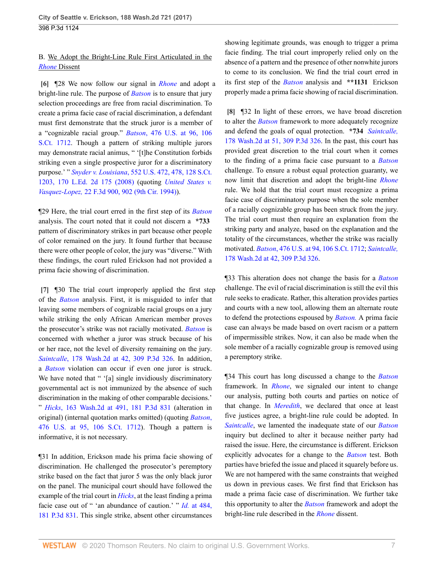## B. We Adopt the Bright-Line Rule First Articulated in the *[Rhone](http://www.westlaw.com/Link/Document/FullText?findType=Y&serNum=2021664562&pubNum=0004645&originatingDoc=If16b08a062d111e794a1f7ff5c621124&refType=RP&originationContext=document&vr=3.0&rs=cblt1.0&transitionType=DocumentItem&contextData=(sc.UserEnteredCitation))* Dissent

<span id="page-6-0"></span>**[\[6\]](#page-1-0)** ¶28 We now follow our signal in *[Rhone](http://www.westlaw.com/Link/Document/FullText?findType=Y&serNum=2021664562&pubNum=0004645&originatingDoc=If16b08a062d111e794a1f7ff5c621124&refType=RP&originationContext=document&vr=3.0&rs=cblt1.0&transitionType=DocumentItem&contextData=(sc.UserEnteredCitation))* and adopt a bright-line rule. The purpose of *[Batson](http://www.westlaw.com/Link/Document/FullText?findType=Y&serNum=1986122459&pubNum=0000708&originatingDoc=If16b08a062d111e794a1f7ff5c621124&refType=RP&originationContext=document&vr=3.0&rs=cblt1.0&transitionType=DocumentItem&contextData=(sc.UserEnteredCitation))* is to ensure that jury selection proceedings are free from racial discrimination. To create a prima facie case of racial discrimination, a defendant must first demonstrate that the struck juror is a member of a "cognizable racial group." *Batson*[, 476 U.S. at 96, 106](http://www.westlaw.com/Link/Document/FullText?findType=Y&serNum=1986122459&pubNum=0000780&originatingDoc=If16b08a062d111e794a1f7ff5c621124&refType=RP&fi=co_pp_sp_780_96&originationContext=document&vr=3.0&rs=cblt1.0&transitionType=DocumentItem&contextData=(sc.UserEnteredCitation)#co_pp_sp_780_96) [S.Ct. 1712](http://www.westlaw.com/Link/Document/FullText?findType=Y&serNum=1986122459&pubNum=0000780&originatingDoc=If16b08a062d111e794a1f7ff5c621124&refType=RP&fi=co_pp_sp_780_96&originationContext=document&vr=3.0&rs=cblt1.0&transitionType=DocumentItem&contextData=(sc.UserEnteredCitation)#co_pp_sp_780_96). Though a pattern of striking multiple jurors may demonstrate racial animus, " '[t]he Constitution forbids striking even a single prospective juror for a discriminatory purpose.' " *Snyder v. Louisiana*[, 552 U.S. 472, 478, 128 S.Ct.](http://www.westlaw.com/Link/Document/FullText?findType=Y&serNum=2015520672&pubNum=0000780&originatingDoc=If16b08a062d111e794a1f7ff5c621124&refType=RP&fi=co_pp_sp_780_478&originationContext=document&vr=3.0&rs=cblt1.0&transitionType=DocumentItem&contextData=(sc.UserEnteredCitation)#co_pp_sp_780_478) [1203, 170 L.Ed. 2d 175 \(2008\)](http://www.westlaw.com/Link/Document/FullText?findType=Y&serNum=2015520672&pubNum=0000780&originatingDoc=If16b08a062d111e794a1f7ff5c621124&refType=RP&fi=co_pp_sp_780_478&originationContext=document&vr=3.0&rs=cblt1.0&transitionType=DocumentItem&contextData=(sc.UserEnteredCitation)#co_pp_sp_780_478) (quoting *[United States v.](http://www.westlaw.com/Link/Document/FullText?findType=Y&serNum=1994086052&pubNum=0000506&originatingDoc=If16b08a062d111e794a1f7ff5c621124&refType=RP&fi=co_pp_sp_506_902&originationContext=document&vr=3.0&rs=cblt1.0&transitionType=DocumentItem&contextData=(sc.UserEnteredCitation)#co_pp_sp_506_902) Vasquez-Lopez,* [22 F.3d 900, 902 \(9th Cir. 1994\)](http://www.westlaw.com/Link/Document/FullText?findType=Y&serNum=1994086052&pubNum=0000506&originatingDoc=If16b08a062d111e794a1f7ff5c621124&refType=RP&fi=co_pp_sp_506_902&originationContext=document&vr=3.0&rs=cblt1.0&transitionType=DocumentItem&contextData=(sc.UserEnteredCitation)#co_pp_sp_506_902)).

¶29 Here, the trial court erred in the first step of its *[Batson](http://www.westlaw.com/Link/Document/FullText?findType=Y&serNum=1986122459&pubNum=0000708&originatingDoc=If16b08a062d111e794a1f7ff5c621124&refType=RP&originationContext=document&vr=3.0&rs=cblt1.0&transitionType=DocumentItem&contextData=(sc.UserEnteredCitation))* analysis. The court noted that it could not discern a **\*733** pattern of discriminatory strikes in part because other people of color remained on the jury. It found further that because there were other people of color, the jury was "diverse." With these findings, the court ruled Erickson had not provided a prima facie showing of discrimination.

<span id="page-6-1"></span>**[\[7\]](#page-1-5)** ¶30 The trial court improperly applied the first step of the *[Batson](http://www.westlaw.com/Link/Document/FullText?findType=Y&serNum=1986122459&pubNum=0000708&originatingDoc=If16b08a062d111e794a1f7ff5c621124&refType=RP&originationContext=document&vr=3.0&rs=cblt1.0&transitionType=DocumentItem&contextData=(sc.UserEnteredCitation))* analysis. First, it is misguided to infer that leaving some members of cognizable racial groups on a jury while striking the only African American member proves the prosecutor's strike was not racially motivated. *[Batson](http://www.westlaw.com/Link/Document/FullText?findType=Y&serNum=1986122459&pubNum=0000708&originatingDoc=If16b08a062d111e794a1f7ff5c621124&refType=RP&originationContext=document&vr=3.0&rs=cblt1.0&transitionType=DocumentItem&contextData=(sc.UserEnteredCitation))* is concerned with whether a juror was struck because of his or her race, not the level of diversity remaining on the jury. *Saintcalle*[, 178 Wash.2d at 42, 309 P.3d 326](http://www.westlaw.com/Link/Document/FullText?findType=Y&serNum=2031199011&pubNum=0000804&originatingDoc=If16b08a062d111e794a1f7ff5c621124&refType=RP&fi=co_pp_sp_804_42&originationContext=document&vr=3.0&rs=cblt1.0&transitionType=DocumentItem&contextData=(sc.UserEnteredCitation)#co_pp_sp_804_42). In addition, a *[Batson](http://www.westlaw.com/Link/Document/FullText?findType=Y&serNum=1986122459&pubNum=0000708&originatingDoc=If16b08a062d111e794a1f7ff5c621124&refType=RP&originationContext=document&vr=3.0&rs=cblt1.0&transitionType=DocumentItem&contextData=(sc.UserEnteredCitation))* violation can occur if even one juror is struck. We have noted that " '[a] single invidiously discriminatory governmental act is not immunized by the absence of such discrimination in the making of other comparable decisions.' " *Hicks*[, 163 Wash.2d at 491, 181 P.3d 831](http://www.westlaw.com/Link/Document/FullText?findType=Y&serNum=2015870376&pubNum=0000804&originatingDoc=If16b08a062d111e794a1f7ff5c621124&refType=RP&fi=co_pp_sp_804_491&originationContext=document&vr=3.0&rs=cblt1.0&transitionType=DocumentItem&contextData=(sc.UserEnteredCitation)#co_pp_sp_804_491) (alteration in original) (internal quotation marks omitted) (quoting *[Batson](http://www.westlaw.com/Link/Document/FullText?findType=Y&serNum=1986122459&pubNum=0000780&originatingDoc=If16b08a062d111e794a1f7ff5c621124&refType=RP&fi=co_pp_sp_780_95&originationContext=document&vr=3.0&rs=cblt1.0&transitionType=DocumentItem&contextData=(sc.UserEnteredCitation)#co_pp_sp_780_95)*, [476 U.S. at 95, 106 S.Ct. 1712](http://www.westlaw.com/Link/Document/FullText?findType=Y&serNum=1986122459&pubNum=0000780&originatingDoc=If16b08a062d111e794a1f7ff5c621124&refType=RP&fi=co_pp_sp_780_95&originationContext=document&vr=3.0&rs=cblt1.0&transitionType=DocumentItem&contextData=(sc.UserEnteredCitation)#co_pp_sp_780_95)). Though a pattern is informative, it is not necessary.

¶31 In addition, Erickson made his prima facie showing of discrimination. He challenged the prosecutor's peremptory strike based on the fact that juror 5 was the only black juror on the panel. The municipal court should have followed the example of the trial court in *[Hicks](http://www.westlaw.com/Link/Document/FullText?findType=Y&serNum=2015870376&pubNum=0004645&originatingDoc=If16b08a062d111e794a1f7ff5c621124&refType=RP&originationContext=document&vr=3.0&rs=cblt1.0&transitionType=DocumentItem&contextData=(sc.UserEnteredCitation))*, at the least finding a prima facie case out of " 'an abundance of caution.' " *Id.* [at 484,](http://www.westlaw.com/Link/Document/FullText?findType=Y&serNum=2015870376&pubNum=0004645&originatingDoc=If16b08a062d111e794a1f7ff5c621124&refType=RP&originationContext=document&vr=3.0&rs=cblt1.0&transitionType=DocumentItem&contextData=(sc.UserEnteredCitation)) [181 P.3d 831](http://www.westlaw.com/Link/Document/FullText?findType=Y&serNum=2015870376&pubNum=0004645&originatingDoc=If16b08a062d111e794a1f7ff5c621124&refType=RP&originationContext=document&vr=3.0&rs=cblt1.0&transitionType=DocumentItem&contextData=(sc.UserEnteredCitation)). This single strike, absent other circumstances

showing legitimate grounds, was enough to trigger a prima facie finding. The trial court improperly relied only on the absence of a pattern and the presence of other nonwhite jurors to come to its conclusion. We find the trial court erred in its first step of the *[Batson](http://www.westlaw.com/Link/Document/FullText?findType=Y&serNum=1986122459&pubNum=0000708&originatingDoc=If16b08a062d111e794a1f7ff5c621124&refType=RP&originationContext=document&vr=3.0&rs=cblt1.0&transitionType=DocumentItem&contextData=(sc.UserEnteredCitation))* analysis and **\*\*1131** Erickson properly made a prima facie showing of racial discrimination.

<span id="page-6-2"></span>**[\[8\]](#page-1-1)** ¶32 In light of these errors, we have broad discretion to alter the *[Batson](http://www.westlaw.com/Link/Document/FullText?findType=Y&serNum=1986122459&pubNum=0000708&originatingDoc=If16b08a062d111e794a1f7ff5c621124&refType=RP&originationContext=document&vr=3.0&rs=cblt1.0&transitionType=DocumentItem&contextData=(sc.UserEnteredCitation))* framework to more adequately recognize and defend the goals of equal protection. **\*734** *[Saintcalle,](http://www.westlaw.com/Link/Document/FullText?findType=Y&serNum=2031199011&pubNum=0000804&originatingDoc=If16b08a062d111e794a1f7ff5c621124&refType=RP&fi=co_pp_sp_804_51&originationContext=document&vr=3.0&rs=cblt1.0&transitionType=DocumentItem&contextData=(sc.UserEnteredCitation)#co_pp_sp_804_51)* [178 Wash.2d at 51, 309 P.3d 326.](http://www.westlaw.com/Link/Document/FullText?findType=Y&serNum=2031199011&pubNum=0000804&originatingDoc=If16b08a062d111e794a1f7ff5c621124&refType=RP&fi=co_pp_sp_804_51&originationContext=document&vr=3.0&rs=cblt1.0&transitionType=DocumentItem&contextData=(sc.UserEnteredCitation)#co_pp_sp_804_51) In the past, this court has provided great discretion to the trial court when it comes to the finding of a prima facie case pursuant to a *[Batson](http://www.westlaw.com/Link/Document/FullText?findType=Y&serNum=1986122459&pubNum=0000708&originatingDoc=If16b08a062d111e794a1f7ff5c621124&refType=RP&originationContext=document&vr=3.0&rs=cblt1.0&transitionType=DocumentItem&contextData=(sc.UserEnteredCitation))* challenge. To ensure a robust equal protection guaranty, we now limit that discretion and adopt the bright-line *[Rhone](http://www.westlaw.com/Link/Document/FullText?findType=Y&serNum=2021664562&pubNum=0004645&originatingDoc=If16b08a062d111e794a1f7ff5c621124&refType=RP&originationContext=document&vr=3.0&rs=cblt1.0&transitionType=DocumentItem&contextData=(sc.UserEnteredCitation))* rule. We hold that the trial court must recognize a prima facie case of discriminatory purpose when the sole member of a racially cognizable group has been struck from the jury. The trial court must then require an explanation from the striking party and analyze, based on the explanation and the totality of the circumstances, whether the strike was racially motivated. *Batson*[, 476 U.S. at 94, 106 S.Ct. 1712;](http://www.westlaw.com/Link/Document/FullText?findType=Y&serNum=1986122459&pubNum=0000780&originatingDoc=If16b08a062d111e794a1f7ff5c621124&refType=RP&fi=co_pp_sp_780_94&originationContext=document&vr=3.0&rs=cblt1.0&transitionType=DocumentItem&contextData=(sc.UserEnteredCitation)#co_pp_sp_780_94) *[Saintcalle,](http://www.westlaw.com/Link/Document/FullText?findType=Y&serNum=2031199011&pubNum=0000804&originatingDoc=If16b08a062d111e794a1f7ff5c621124&refType=RP&fi=co_pp_sp_804_42&originationContext=document&vr=3.0&rs=cblt1.0&transitionType=DocumentItem&contextData=(sc.UserEnteredCitation)#co_pp_sp_804_42)* [178 Wash.2d at 42, 309 P.3d 326](http://www.westlaw.com/Link/Document/FullText?findType=Y&serNum=2031199011&pubNum=0000804&originatingDoc=If16b08a062d111e794a1f7ff5c621124&refType=RP&fi=co_pp_sp_804_42&originationContext=document&vr=3.0&rs=cblt1.0&transitionType=DocumentItem&contextData=(sc.UserEnteredCitation)#co_pp_sp_804_42).

¶33 This alteration does not change the basis for a *[Batson](http://www.westlaw.com/Link/Document/FullText?findType=Y&serNum=1986122459&pubNum=0000708&originatingDoc=If16b08a062d111e794a1f7ff5c621124&refType=RP&originationContext=document&vr=3.0&rs=cblt1.0&transitionType=DocumentItem&contextData=(sc.UserEnteredCitation))* challenge. The evil of racial discrimination is still the evil this rule seeks to eradicate. Rather, this alteration provides parties and courts with a new tool, allowing them an alternate route to defend the protections espoused by *[Batson.](http://www.westlaw.com/Link/Document/FullText?findType=Y&serNum=1986122459&pubNum=0000708&originatingDoc=If16b08a062d111e794a1f7ff5c621124&refType=RP&originationContext=document&vr=3.0&rs=cblt1.0&transitionType=DocumentItem&contextData=(sc.UserEnteredCitation))* A prima facie case can always be made based on overt racism or a pattern of impermissible strikes. Now, it can also be made when the sole member of a racially cognizable group is removed using a peremptory strike.

¶34 This court has long discussed a change to the *[Batson](http://www.westlaw.com/Link/Document/FullText?findType=Y&serNum=1986122459&pubNum=0000708&originatingDoc=If16b08a062d111e794a1f7ff5c621124&refType=RP&originationContext=document&vr=3.0&rs=cblt1.0&transitionType=DocumentItem&contextData=(sc.UserEnteredCitation))* framework. In *[Rhone](http://www.westlaw.com/Link/Document/FullText?findType=Y&serNum=2021664562&pubNum=0004645&originatingDoc=If16b08a062d111e794a1f7ff5c621124&refType=RP&originationContext=document&vr=3.0&rs=cblt1.0&transitionType=DocumentItem&contextData=(sc.UserEnteredCitation))*, we signaled our intent to change our analysis, putting both courts and parties on notice of that change. In *[Meredith](http://www.westlaw.com/Link/Document/FullText?findType=Y&serNum=2031250465&pubNum=0004645&originatingDoc=If16b08a062d111e794a1f7ff5c621124&refType=RP&originationContext=document&vr=3.0&rs=cblt1.0&transitionType=DocumentItem&contextData=(sc.UserEnteredCitation))*, we declared that once at least five justices agree, a bright-line rule could be adopted. In *[Saintcalle](http://www.westlaw.com/Link/Document/FullText?findType=Y&serNum=2031199011&pubNum=0004645&originatingDoc=If16b08a062d111e794a1f7ff5c621124&refType=RP&originationContext=document&vr=3.0&rs=cblt1.0&transitionType=DocumentItem&contextData=(sc.UserEnteredCitation))*, we lamented the inadequate state of our *[Batson](http://www.westlaw.com/Link/Document/FullText?findType=Y&serNum=1986122459&pubNum=0000708&originatingDoc=If16b08a062d111e794a1f7ff5c621124&refType=RP&originationContext=document&vr=3.0&rs=cblt1.0&transitionType=DocumentItem&contextData=(sc.UserEnteredCitation))* inquiry but declined to alter it because neither party had raised the issue. Here, the circumstance is different. Erickson explicitly advocates for a change to the *[Batson](http://www.westlaw.com/Link/Document/FullText?findType=Y&serNum=1986122459&pubNum=0000708&originatingDoc=If16b08a062d111e794a1f7ff5c621124&refType=RP&originationContext=document&vr=3.0&rs=cblt1.0&transitionType=DocumentItem&contextData=(sc.UserEnteredCitation))* test. Both parties have briefed the issue and placed it squarely before us. We are not hampered with the same constraints that weighed us down in previous cases. We first find that Erickson has made a prima facie case of discrimination. We further take this opportunity to alter the *[Batson](http://www.westlaw.com/Link/Document/FullText?findType=Y&serNum=1986122459&pubNum=0000708&originatingDoc=If16b08a062d111e794a1f7ff5c621124&refType=RP&originationContext=document&vr=3.0&rs=cblt1.0&transitionType=DocumentItem&contextData=(sc.UserEnteredCitation))* framework and adopt the bright-line rule described in the *[Rhone](http://www.westlaw.com/Link/Document/FullText?findType=Y&serNum=2021664562&pubNum=0004645&originatingDoc=If16b08a062d111e794a1f7ff5c621124&refType=RP&originationContext=document&vr=3.0&rs=cblt1.0&transitionType=DocumentItem&contextData=(sc.UserEnteredCitation))* dissent.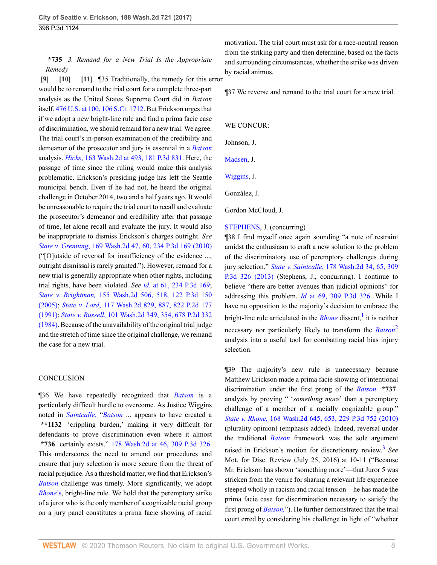# <span id="page-7-2"></span><span id="page-7-1"></span>**\*735** *3. Remand for a New Trial Is the Appropriate Remedy*

<span id="page-7-0"></span>**[\[9\]](#page-1-2) [\[10](#page-1-6)] [\[11\]](#page-1-7)** ¶35 Traditionally, the remedy for this error would be to remand to the trial court for a complete three-part analysis as the United States Supreme Court did in *Batson* itself. [476 U.S. at 100, 106 S.Ct. 1712](http://www.westlaw.com/Link/Document/FullText?findType=Y&serNum=1986122459&pubNum=0000708&originatingDoc=If16b08a062d111e794a1f7ff5c621124&refType=RP&originationContext=document&vr=3.0&rs=cblt1.0&transitionType=DocumentItem&contextData=(sc.UserEnteredCitation)). But Erickson urges that if we adopt a new bright-line rule and find a prima facie case of discrimination, we should remand for a new trial. We agree. The trial court's in-person examination of the credibility and demeanor of the prosecutor and jury is essential in a *[Batson](http://www.westlaw.com/Link/Document/FullText?findType=Y&serNum=1986122459&pubNum=0000708&originatingDoc=If16b08a062d111e794a1f7ff5c621124&refType=RP&originationContext=document&vr=3.0&rs=cblt1.0&transitionType=DocumentItem&contextData=(sc.UserEnteredCitation))* analysis. *Hicks*[, 163 Wash.2d at 493, 181 P.3d 831](http://www.westlaw.com/Link/Document/FullText?findType=Y&serNum=2015870376&pubNum=0000804&originatingDoc=If16b08a062d111e794a1f7ff5c621124&refType=RP&fi=co_pp_sp_804_493&originationContext=document&vr=3.0&rs=cblt1.0&transitionType=DocumentItem&contextData=(sc.UserEnteredCitation)#co_pp_sp_804_493). Here, the passage of time since the ruling would make this analysis problematic. Erickson's presiding judge has left the Seattle municipal bench. Even if he had not, he heard the original challenge in October 2014, two and a half years ago. It would be unreasonable to require the trial court to recall and evaluate the prosecutor's demeanor and credibility after that passage of time, let alone recall and evaluate the jury. It would also be inappropriate to dismiss Erickson's charges outright. *See State v. Grenning*[, 169 Wash.2d 47, 60, 234 P.3d 169 \(2010\)](http://www.westlaw.com/Link/Document/FullText?findType=Y&serNum=2022321283&pubNum=0000804&originatingDoc=If16b08a062d111e794a1f7ff5c621124&refType=RP&fi=co_pp_sp_804_60&originationContext=document&vr=3.0&rs=cblt1.0&transitionType=DocumentItem&contextData=(sc.UserEnteredCitation)#co_pp_sp_804_60) ("[O]utside of reversal for insufficiency of the evidence ..., outright dismissal is rarely granted."). However, remand for a new trial is generally appropriate when other rights, including trial rights, have been violated. *See id.* [at 61, 234 P.3d 169](http://www.westlaw.com/Link/Document/FullText?findType=Y&serNum=2022321283&pubNum=0004645&originatingDoc=If16b08a062d111e794a1f7ff5c621124&refType=RP&originationContext=document&vr=3.0&rs=cblt1.0&transitionType=DocumentItem&contextData=(sc.UserEnteredCitation)); *State v. Brightman,* [155 Wash.2d 506, 518, 122 P.3d 150](http://www.westlaw.com/Link/Document/FullText?findType=Y&serNum=2007462880&pubNum=0000804&originatingDoc=If16b08a062d111e794a1f7ff5c621124&refType=RP&fi=co_pp_sp_804_518&originationContext=document&vr=3.0&rs=cblt1.0&transitionType=DocumentItem&contextData=(sc.UserEnteredCitation)#co_pp_sp_804_518) [\(2005\);](http://www.westlaw.com/Link/Document/FullText?findType=Y&serNum=2007462880&pubNum=0000804&originatingDoc=If16b08a062d111e794a1f7ff5c621124&refType=RP&fi=co_pp_sp_804_518&originationContext=document&vr=3.0&rs=cblt1.0&transitionType=DocumentItem&contextData=(sc.UserEnteredCitation)#co_pp_sp_804_518) *State v. Lord*[, 117 Wash.2d 829, 887, 822 P.2d 177](http://www.westlaw.com/Link/Document/FullText?findType=Y&serNum=1991198308&pubNum=0000804&originatingDoc=If16b08a062d111e794a1f7ff5c621124&refType=RP&fi=co_pp_sp_804_887&originationContext=document&vr=3.0&rs=cblt1.0&transitionType=DocumentItem&contextData=(sc.UserEnteredCitation)#co_pp_sp_804_887) [\(1991\);](http://www.westlaw.com/Link/Document/FullText?findType=Y&serNum=1991198308&pubNum=0000804&originatingDoc=If16b08a062d111e794a1f7ff5c621124&refType=RP&fi=co_pp_sp_804_887&originationContext=document&vr=3.0&rs=cblt1.0&transitionType=DocumentItem&contextData=(sc.UserEnteredCitation)#co_pp_sp_804_887) *State v. Russell*[, 101 Wash.2d 349, 354, 678 P.2d 332](http://www.westlaw.com/Link/Document/FullText?findType=Y&serNum=1984113830&pubNum=0000804&originatingDoc=If16b08a062d111e794a1f7ff5c621124&refType=RP&fi=co_pp_sp_804_354&originationContext=document&vr=3.0&rs=cblt1.0&transitionType=DocumentItem&contextData=(sc.UserEnteredCitation)#co_pp_sp_804_354) [\(1984\).](http://www.westlaw.com/Link/Document/FullText?findType=Y&serNum=1984113830&pubNum=0000804&originatingDoc=If16b08a062d111e794a1f7ff5c621124&refType=RP&fi=co_pp_sp_804_354&originationContext=document&vr=3.0&rs=cblt1.0&transitionType=DocumentItem&contextData=(sc.UserEnteredCitation)#co_pp_sp_804_354) Because of the unavailability of the original trial judge and the stretch of time since the original challenge, we remand the case for a new trial.

#### **CONCLUSION**

¶36 We have repeatedly recognized that *[Batson](http://www.westlaw.com/Link/Document/FullText?findType=Y&serNum=1986122459&pubNum=0000708&originatingDoc=If16b08a062d111e794a1f7ff5c621124&refType=RP&originationContext=document&vr=3.0&rs=cblt1.0&transitionType=DocumentItem&contextData=(sc.UserEnteredCitation))* is a particularly difficult hurdle to overcome. As Justice Wiggins noted in *[Saintcalle,](http://www.westlaw.com/Link/Document/FullText?findType=Y&serNum=2031199011&pubNum=0004645&originatingDoc=If16b08a062d111e794a1f7ff5c621124&refType=RP&originationContext=document&vr=3.0&rs=cblt1.0&transitionType=DocumentItem&contextData=(sc.UserEnteredCitation))* "*[Batson](http://www.westlaw.com/Link/Document/FullText?findType=Y&serNum=1986122459&pubNum=0000708&originatingDoc=If16b08a062d111e794a1f7ff5c621124&refType=RP&originationContext=document&vr=3.0&rs=cblt1.0&transitionType=DocumentItem&contextData=(sc.UserEnteredCitation))* ... appears to have created a **\*\*1132** 'crippling burden,' making it very difficult for defendants to prove discrimination even where it almost **\*736** certainly exists." [178 Wash.2d at 46, 309 P.3d 326](http://www.westlaw.com/Link/Document/FullText?findType=Y&serNum=2031199011&pubNum=0000804&originatingDoc=If16b08a062d111e794a1f7ff5c621124&refType=RP&fi=co_pp_sp_804_46&originationContext=document&vr=3.0&rs=cblt1.0&transitionType=DocumentItem&contextData=(sc.UserEnteredCitation)#co_pp_sp_804_46). This underscores the need to amend our procedures and ensure that jury selection is more secure from the threat of racial prejudice. As a threshold matter, we find that Erickson's *[Batson](http://www.westlaw.com/Link/Document/FullText?findType=Y&serNum=1986122459&pubNum=0000708&originatingDoc=If16b08a062d111e794a1f7ff5c621124&refType=RP&originationContext=document&vr=3.0&rs=cblt1.0&transitionType=DocumentItem&contextData=(sc.UserEnteredCitation))* challenge was timely. More significantly, we adopt *[Rhone](http://www.westlaw.com/Link/Document/FullText?findType=Y&serNum=2021664562&originatingDoc=If16b08a062d111e794a1f7ff5c621124&refType=RP&originationContext=document&vr=3.0&rs=cblt1.0&transitionType=DocumentItem&contextData=(sc.UserEnteredCitation))*'s, bright-line rule. We hold that the peremptory strike of a juror who is the only member of a cognizable racial group on a jury panel constitutes a prima facie showing of racial

motivation. The trial court must ask for a race-neutral reason from the striking party and then determine, based on the facts and surrounding circumstances, whether the strike was driven by racial animus.

¶37 We reverse and remand to the trial court for a new trial.

#### WE CONCUR:

Johnson, J.

[Madsen,](http://www.westlaw.com/Link/Document/FullText?findType=h&pubNum=176284&cite=0126244901&originatingDoc=If16b08a062d111e794a1f7ff5c621124&refType=RQ&originationContext=document&vr=3.0&rs=cblt1.0&transitionType=DocumentItem&contextData=(sc.UserEnteredCitation)) J.

[Wiggins](http://www.westlaw.com/Link/Document/FullText?findType=h&pubNum=176284&cite=0275558101&originatingDoc=If16b08a062d111e794a1f7ff5c621124&refType=RQ&originationContext=document&vr=3.0&rs=cblt1.0&transitionType=DocumentItem&contextData=(sc.UserEnteredCitation)), J.

González, J.

Gordon McCloud, J.

#### [STEPHENS](http://www.westlaw.com/Link/Document/FullText?findType=h&pubNum=176284&cite=0380551701&originatingDoc=If16b08a062d111e794a1f7ff5c621124&refType=RQ&originationContext=document&vr=3.0&rs=cblt1.0&transitionType=DocumentItem&contextData=(sc.UserEnteredCitation)), J. (concurring)

¶38 I find myself once again sounding "a note of restraint amidst the enthusiasm to craft a new solution to the problem of the discriminatory use of peremptory challenges during jury selection." *State v. Saintcalle*[, 178 Wash.2d 34, 65, 309](http://www.westlaw.com/Link/Document/FullText?findType=Y&serNum=2031199011&pubNum=0000804&originatingDoc=If16b08a062d111e794a1f7ff5c621124&refType=RP&fi=co_pp_sp_804_65&originationContext=document&vr=3.0&rs=cblt1.0&transitionType=DocumentItem&contextData=(sc.UserEnteredCitation)#co_pp_sp_804_65) [P.3d 326 \(2013\)](http://www.westlaw.com/Link/Document/FullText?findType=Y&serNum=2031199011&pubNum=0000804&originatingDoc=If16b08a062d111e794a1f7ff5c621124&refType=RP&fi=co_pp_sp_804_65&originationContext=document&vr=3.0&rs=cblt1.0&transitionType=DocumentItem&contextData=(sc.UserEnteredCitation)#co_pp_sp_804_65) (Stephens, J., concurring). I continue to believe "there are better avenues than judicial opinions" for addressing this problem. *Id* [at 69, 309 P.3d 326.](http://www.westlaw.com/Link/Document/FullText?findType=Y&serNum=2031199011&pubNum=0004645&originatingDoc=If16b08a062d111e794a1f7ff5c621124&refType=RP&originationContext=document&vr=3.0&rs=cblt1.0&transitionType=DocumentItem&contextData=(sc.UserEnteredCitation)) While I have no opposition to the majority's decision to embrace the bright-line rule articulated in the *[Rhone](http://www.westlaw.com/Link/Document/FullText?findType=Y&serNum=2021664562&pubNum=0004645&originatingDoc=If16b08a062d111e794a1f7ff5c621124&refType=RP&originationContext=document&vr=3.0&rs=cblt1.0&transitionType=DocumentItem&contextData=(sc.UserEnteredCitation))* dissent,<sup>[1](#page-9-1)</sup> it is neither necessary nor particularly likely to transform the *[Batson](http://www.westlaw.com/Link/Document/FullText?findType=Y&serNum=1986122459&pubNum=0000708&originatingDoc=If16b08a062d111e794a1f7ff5c621124&refType=RP&originationContext=document&vr=3.0&rs=cblt1.0&transitionType=DocumentItem&contextData=(sc.UserEnteredCitation))*[2](#page-9-2) analysis into a useful tool for combatting racial bias injury selection.

<span id="page-7-5"></span><span id="page-7-4"></span><span id="page-7-3"></span>¶39 The majority's new rule is unnecessary because Matthew Erickson made a prima facie showing of intentional discrimination under the first prong of the *[Batson](http://www.westlaw.com/Link/Document/FullText?findType=Y&serNum=1986122459&pubNum=0000708&originatingDoc=If16b08a062d111e794a1f7ff5c621124&refType=RP&originationContext=document&vr=3.0&rs=cblt1.0&transitionType=DocumentItem&contextData=(sc.UserEnteredCitation))* **\*737** analysis by proving " '*something more*' than a peremptory challenge of a member of a racially cognizable group." *State v. Rhone,* [168 Wash.2d 645, 653, 229 P.3d 752 \(2010\)](http://www.westlaw.com/Link/Document/FullText?findType=Y&serNum=2021664562&pubNum=0000804&originatingDoc=If16b08a062d111e794a1f7ff5c621124&refType=RP&fi=co_pp_sp_804_653&originationContext=document&vr=3.0&rs=cblt1.0&transitionType=DocumentItem&contextData=(sc.UserEnteredCitation)#co_pp_sp_804_653) (plurality opinion) (emphasis added). Indeed, reversal under the traditional *[Batson](http://www.westlaw.com/Link/Document/FullText?findType=Y&serNum=1986122459&pubNum=0000708&originatingDoc=If16b08a062d111e794a1f7ff5c621124&refType=RP&originationContext=document&vr=3.0&rs=cblt1.0&transitionType=DocumentItem&contextData=(sc.UserEnteredCitation))* framework was the sole argument raised in Erickson's motion for discretionary review.[3](#page-9-3) *See* Mot. for Disc. Review (July 25, 2016) at 10-11 ("Because Mr. Erickson has shown 'something more'—that Juror 5 was stricken from the venire for sharing a relevant life experience steeped wholly in racism and racial tension—he has made the prima facie case for discrimination necessary to satisfy the first prong of *[Batson.](http://www.westlaw.com/Link/Document/FullText?findType=Y&serNum=1986122459&pubNum=0000708&originatingDoc=If16b08a062d111e794a1f7ff5c621124&refType=RP&originationContext=document&vr=3.0&rs=cblt1.0&transitionType=DocumentItem&contextData=(sc.UserEnteredCitation))*"). He further demonstrated that the trial court erred by considering his challenge in light of "whether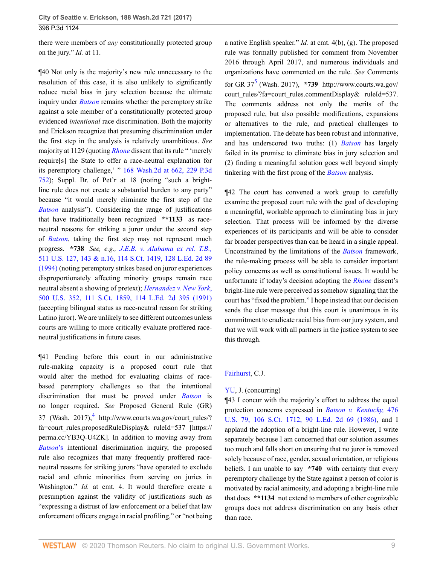there were members of *any* constitutionally protected group on the jury." *Id.* at 11.

¶40 Not only is the majority's new rule unnecessary to the resolution of this case, it is also unlikely to significantly reduce racial bias in jury selection because the ultimate inquiry under *[Batson](http://www.westlaw.com/Link/Document/FullText?findType=Y&serNum=1986122459&pubNum=0000708&originatingDoc=If16b08a062d111e794a1f7ff5c621124&refType=RP&originationContext=document&vr=3.0&rs=cblt1.0&transitionType=DocumentItem&contextData=(sc.UserEnteredCitation))* remains whether the peremptory strike against a sole member of a constitutionally protected group evidenced *intentional* race discrimination. Both the majority and Erickson recognize that presuming discrimination under the first step in the analysis is relatively unambitious. *See* majority at 1129 (quoting *[Rhone](http://www.westlaw.com/Link/Document/FullText?findType=Y&serNum=2021664562&pubNum=0004645&originatingDoc=If16b08a062d111e794a1f7ff5c621124&refType=RP&originationContext=document&vr=3.0&rs=cblt1.0&transitionType=DocumentItem&contextData=(sc.UserEnteredCitation))* dissent that its rule " 'merely require[s] the State to offer a race-neutral explanation for its peremptory challenge,' " [168 Wash.2d at 662, 229 P.3d](http://www.westlaw.com/Link/Document/FullText?findType=Y&serNum=2021664562&pubNum=0000804&originatingDoc=If16b08a062d111e794a1f7ff5c621124&refType=RP&fi=co_pp_sp_804_662&originationContext=document&vr=3.0&rs=cblt1.0&transitionType=DocumentItem&contextData=(sc.UserEnteredCitation)#co_pp_sp_804_662) [752](http://www.westlaw.com/Link/Document/FullText?findType=Y&serNum=2021664562&pubNum=0000804&originatingDoc=If16b08a062d111e794a1f7ff5c621124&refType=RP&fi=co_pp_sp_804_662&originationContext=document&vr=3.0&rs=cblt1.0&transitionType=DocumentItem&contextData=(sc.UserEnteredCitation)#co_pp_sp_804_662)); Suppl. Br. of Pet'r at 18 (noting "such a brightline rule does not create a substantial burden to any party" because "it would merely eliminate the first step of the *[Batson](http://www.westlaw.com/Link/Document/FullText?findType=Y&serNum=1986122459&pubNum=0000708&originatingDoc=If16b08a062d111e794a1f7ff5c621124&refType=RP&originationContext=document&vr=3.0&rs=cblt1.0&transitionType=DocumentItem&contextData=(sc.UserEnteredCitation))* analysis"). Considering the range of justifications that have traditionally been recognized **\*\*1133** as raceneutral reasons for striking a juror under the second step of *[Batson](http://www.westlaw.com/Link/Document/FullText?findType=Y&serNum=1986122459&pubNum=0000708&originatingDoc=If16b08a062d111e794a1f7ff5c621124&refType=RP&originationContext=document&vr=3.0&rs=cblt1.0&transitionType=DocumentItem&contextData=(sc.UserEnteredCitation))*, taking the first step may not represent much progress. **\*738** *See, e.g., [J.E.B. v. Alabama ex rel. T.B.,](http://www.westlaw.com/Link/Document/FullText?findType=Y&serNum=1994086673&pubNum=0000780&originatingDoc=If16b08a062d111e794a1f7ff5c621124&refType=RP&fi=co_pp_sp_780_143&originationContext=document&vr=3.0&rs=cblt1.0&transitionType=DocumentItem&contextData=(sc.UserEnteredCitation)#co_pp_sp_780_143)* [511 U.S. 127, 143 & n.16, 114 S.Ct. 1419, 128 L.Ed. 2d 89](http://www.westlaw.com/Link/Document/FullText?findType=Y&serNum=1994086673&pubNum=0000780&originatingDoc=If16b08a062d111e794a1f7ff5c621124&refType=RP&fi=co_pp_sp_780_143&originationContext=document&vr=3.0&rs=cblt1.0&transitionType=DocumentItem&contextData=(sc.UserEnteredCitation)#co_pp_sp_780_143) [\(1994\)](http://www.westlaw.com/Link/Document/FullText?findType=Y&serNum=1994086673&pubNum=0000780&originatingDoc=If16b08a062d111e794a1f7ff5c621124&refType=RP&fi=co_pp_sp_780_143&originationContext=document&vr=3.0&rs=cblt1.0&transitionType=DocumentItem&contextData=(sc.UserEnteredCitation)#co_pp_sp_780_143) (noting peremptory strikes based on juror experiences disproportionately affecting minority groups remain race neutral absent a showing of pretext); *[Hernandez v. New York](http://www.westlaw.com/Link/Document/FullText?findType=Y&serNum=1991097682&pubNum=0000708&originatingDoc=If16b08a062d111e794a1f7ff5c621124&refType=RP&originationContext=document&vr=3.0&rs=cblt1.0&transitionType=DocumentItem&contextData=(sc.UserEnteredCitation))*, [500 U.S. 352, 111 S.Ct. 1859, 114 L.Ed. 2d 395 \(1991\)](http://www.westlaw.com/Link/Document/FullText?findType=Y&serNum=1991097682&pubNum=0000708&originatingDoc=If16b08a062d111e794a1f7ff5c621124&refType=RP&originationContext=document&vr=3.0&rs=cblt1.0&transitionType=DocumentItem&contextData=(sc.UserEnteredCitation)) (accepting bilingual status as race-neutral reason for striking Latino juror). We are unlikely to see different outcomes unless courts are willing to more critically evaluate proffered raceneutral justifications in future cases.

<span id="page-8-0"></span>¶41 Pending before this court in our administrative rule-making capacity is a proposed court rule that would alter the method for evaluating claims of racebased peremptory challenges so that the intentional discrimination that must be proved under *[Batson](http://www.westlaw.com/Link/Document/FullText?findType=Y&serNum=1986122459&pubNum=0000708&originatingDoc=If16b08a062d111e794a1f7ff5c621124&refType=RP&originationContext=document&vr=3.0&rs=cblt1.0&transitionType=DocumentItem&contextData=(sc.UserEnteredCitation))* is no longer required. *See* Proposed General Rule (GR) 37 (Wash. 2017), $4 \text{ http://www.courts.wa.gov/court_rules/?}$  $4 \text{ http://www.courts.wa.gov/court_rules/?}$ fa=court\_rules.proposedRuleDisplay& ruleId=537 [https:// perma.cc/YB3Q-U4ZK]. In addition to moving away from *[Batson](http://www.westlaw.com/Link/Document/FullText?findType=Y&serNum=1986122459&originatingDoc=If16b08a062d111e794a1f7ff5c621124&refType=RP&originationContext=document&vr=3.0&rs=cblt1.0&transitionType=DocumentItem&contextData=(sc.UserEnteredCitation))*'s intentional discrimination inquiry, the proposed rule also recognizes that many frequently proffered raceneutral reasons for striking jurors "have operated to exclude racial and ethnic minorities from serving on juries in Washington." *Id.* at cmt. 4. It would therefore create a presumption against the validity of justifications such as "expressing a distrust of law enforcement or a belief that law enforcement officers engage in racial profiling," or "not being

<span id="page-8-1"></span>a native English speaker." *Id.* at cmt. 4(b), (g). The proposed rule was formally published for comment from November 2016 through April 2017, and numerous individuals and organizations have commented on the rule. *See* Comments for GR 37[5](#page-9-5) (Wash. 2017), **\*739** http://www.courts.wa.gov/ court\_rules/?fa=court\_rules.commentDisplay& ruleId=537. The comments address not only the merits of the proposed rule, but also possible modifications, expansions or alternatives to the rule, and practical challenges to implementation. The debate has been robust and informative, and has underscored two truths: (1) *[Batson](http://www.westlaw.com/Link/Document/FullText?findType=Y&serNum=1986122459&pubNum=0000708&originatingDoc=If16b08a062d111e794a1f7ff5c621124&refType=RP&originationContext=document&vr=3.0&rs=cblt1.0&transitionType=DocumentItem&contextData=(sc.UserEnteredCitation))* has largely failed in its promise to eliminate bias in jury selection and (2) finding a meaningful solution goes well beyond simply tinkering with the first prong of the *[Batson](http://www.westlaw.com/Link/Document/FullText?findType=Y&serNum=1986122459&pubNum=0000708&originatingDoc=If16b08a062d111e794a1f7ff5c621124&refType=RP&originationContext=document&vr=3.0&rs=cblt1.0&transitionType=DocumentItem&contextData=(sc.UserEnteredCitation))* analysis.

¶42 The court has convened a work group to carefully examine the proposed court rule with the goal of developing a meaningful, workable approach to eliminating bias in jury selection. That process will be informed by the diverse experiences of its participants and will be able to consider far broader perspectives than can be heard in a single appeal. Unconstrained by the limitations of the *[Batson](http://www.westlaw.com/Link/Document/FullText?findType=Y&serNum=1986122459&pubNum=0000708&originatingDoc=If16b08a062d111e794a1f7ff5c621124&refType=RP&originationContext=document&vr=3.0&rs=cblt1.0&transitionType=DocumentItem&contextData=(sc.UserEnteredCitation))* framework, the rule-making process will be able to consider important policy concerns as well as constitutional issues. It would be unfortunate if today's decision adopting the *[Rhone](http://www.westlaw.com/Link/Document/FullText?findType=Y&serNum=2021664562&pubNum=0004645&originatingDoc=If16b08a062d111e794a1f7ff5c621124&refType=RP&originationContext=document&vr=3.0&rs=cblt1.0&transitionType=DocumentItem&contextData=(sc.UserEnteredCitation))* dissent's bright-line rule were perceived as somehow signaling that the court has "fixed the problem." I hope instead that our decision sends the clear message that this court is unanimous in its commitment to eradicate racial bias from our jury system, and that we will work with all partners in the justice system to see this through.

#### [Fairhurst](http://www.westlaw.com/Link/Document/FullText?findType=h&pubNum=176284&cite=0190551101&originatingDoc=If16b08a062d111e794a1f7ff5c621124&refType=RQ&originationContext=document&vr=3.0&rs=cblt1.0&transitionType=DocumentItem&contextData=(sc.UserEnteredCitation)), C.J.

### [YU](http://www.westlaw.com/Link/Document/FullText?findType=h&pubNum=176284&cite=0227076801&originatingDoc=If16b08a062d111e794a1f7ff5c621124&refType=RQ&originationContext=document&vr=3.0&rs=cblt1.0&transitionType=DocumentItem&contextData=(sc.UserEnteredCitation)), J. (concurring)

¶43 I concur with the majority's effort to address the equal protection concerns expressed in *[Batson v. Kentucky,](http://www.westlaw.com/Link/Document/FullText?findType=Y&serNum=1986122459&pubNum=0000708&originatingDoc=If16b08a062d111e794a1f7ff5c621124&refType=RP&originationContext=document&vr=3.0&rs=cblt1.0&transitionType=DocumentItem&contextData=(sc.UserEnteredCitation))* 476 [U.S. 79, 106 S.Ct. 1712, 90 L.Ed. 2d 69 \(1986\),](http://www.westlaw.com/Link/Document/FullText?findType=Y&serNum=1986122459&pubNum=0000708&originatingDoc=If16b08a062d111e794a1f7ff5c621124&refType=RP&originationContext=document&vr=3.0&rs=cblt1.0&transitionType=DocumentItem&contextData=(sc.UserEnteredCitation)) and I applaud the adoption of a bright-line rule. However, I write separately because I am concerned that our solution assumes too much and falls short on ensuring that no juror is removed solely because of race, gender, sexual orientation, or religious beliefs. I am unable to say **\*740** with certainty that every peremptory challenge by the State against a person of color is motivated by racial animosity, and adopting a bright-line rule that does **\*\*1134** not extend to members of other cognizable groups does not address discrimination on any basis other than race.